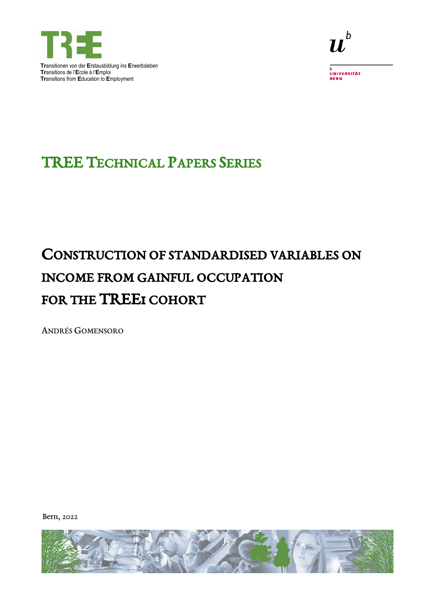



.<br>UNIVERSITÄT<br>BERN

## **TREE TECHNICAL PAPERS SERIES**

# CONSTRUCTION OF STANDARDISED VARIABLES ON **INCOME FROM GAINFUL OCCUPATION** FOR THE TREEI COHORT

**ANDRÉS GOMENSORO** 

Bern, 2022

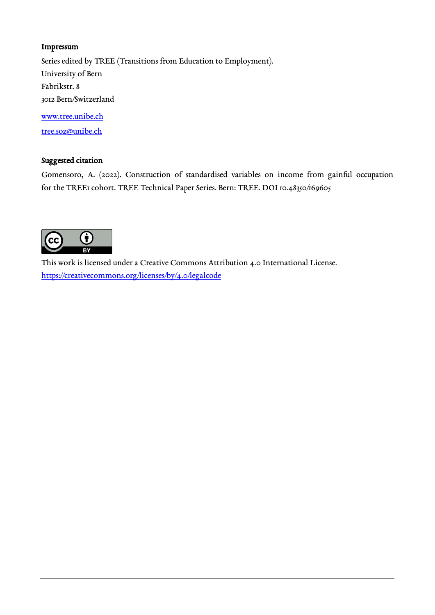#### Impressum

Series edited by TREE (Transitions from Education to Employment). University of Bern Fabrikstr. 8 3012 Bern/Switzerland [www.tree.unibe.ch](http://www.tree.unibe.ch/) 

[tree.soz@unibe.ch](mailto:tree@soz.unibe.ch) 

#### Suggested citation

Gomensoro, A. (2022). Construction of standardised variables on income from gainful occupation for the TREE1 cohort. TREE Technical Paper Series. Bern: TREE. DOI 10.48350/169605



This work is licensed under a Creative Commons Attribution 4.0 International License. <https://creativecommons.org/licenses/by/4.0/legalcode>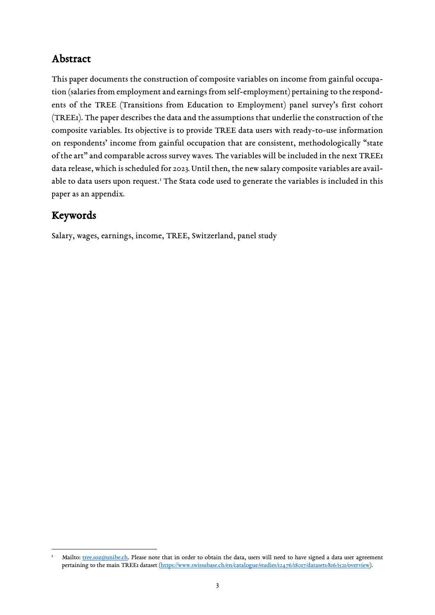## Abstract

This paper documents the construction of composite variables on income from gainful occupation (salaries from employment and earnings from self-employment) pertaining to the respondents of the TREE (Transitions from Education to Employment) panel survey's first cohort (TREE1). The paper describes the data and the assumptions that underlie the construction of the composite variables. Its objective is to provide TREE data users with ready-to-use information on respondents' income from gainful occupation that are consistent, methodologically "state of the art" and comparable across survey waves. The variables will be included in the next TREE1 data release, which is scheduled for 2023. Until then, the new salary composite variables are avail-able to data users upon request.<sup>[1](#page-2-0)</sup> The Stata code used to generate the variables is included in this paper as an appendix.

## Keywords

 $\overline{a}$ 

Salary, wages, earnings, income, TREE, Switzerland, panel study

<span id="page-2-0"></span><sup>1</sup> Mailto: [tree.soz@unibe.ch.](mailto:tree.soz@unibe.ch) Please note that in order to obtain the data, users will need to have signed a data user agreement pertaining to the main TREE1 dataset [\(https://www.swissubase.ch/en/catalogue/studies/12476/18017/datasets/816/1521/overview\)](https://www.swissubase.ch/en/catalogue/studies/12476/18017/datasets/816/1521/overview).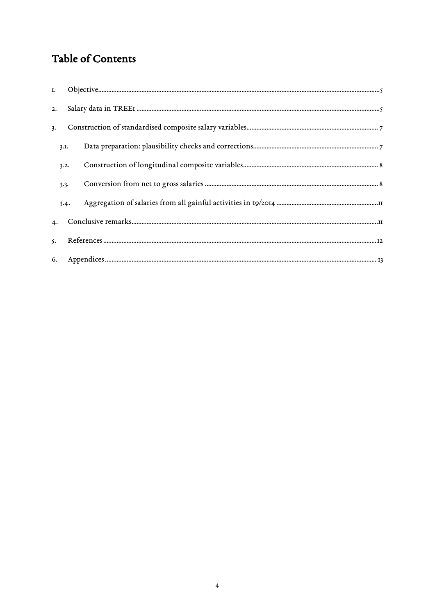## Table of Contents

| 2.        |      |  |
|-----------|------|--|
| 3.        |      |  |
|           | 3.I. |  |
|           | 3.2. |  |
|           | 3.3. |  |
|           | 3.4. |  |
| 4.        |      |  |
| $\zeta$ . |      |  |
|           |      |  |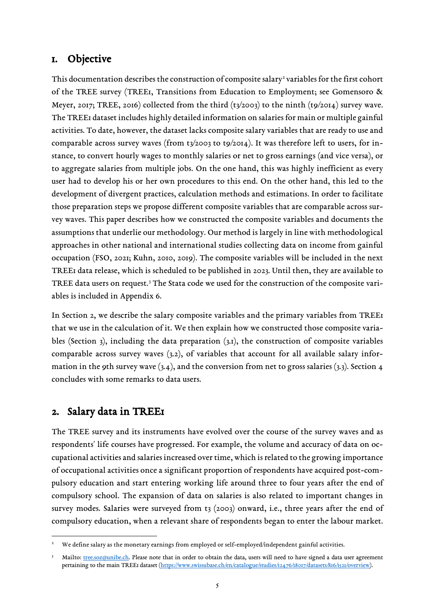### <span id="page-4-0"></span>1. Objective

This documentation describes the construction of composite salary<sup>[2](#page-4-2)</sup> variables for the first cohort of the TREE survey (TREE1, Transitions from Education to Employment; see Gomensoro & Meyer, 2017; TREE, 2016) collected from the third  $(t_3/2003)$  to the ninth  $(t_9/2014)$  survey wave. The TREE1 dataset includes highly detailed information on salaries for main or multiple gainful activities. To date, however, the dataset lacks composite salary variables that are ready to use and comparable across survey waves (from t3/2003 to t9/2014). It was therefore left to users, for instance, to convert hourly wages to monthly salaries or net to gross earnings (and vice versa), or to aggregate salaries from multiple jobs. On the one hand, this was highly inefficient as every user had to develop his or her own procedures to this end. On the other hand, this led to the development of divergent practices, calculation methods and estimations. In order to facilitate those preparation steps we propose different composite variables that are comparable across survey waves. This paper describes how we constructed the composite variables and documents the assumptions that underlie our methodology. Our method is largely in line with methodological approaches in other national and international studies collecting data on income from gainful occupation (FSO, 2021; Kuhn, 2010, 2019). The composite variables will be included in the next TREE1 data release, which is scheduled to be published in 2023. Until then, they are available to TREE data users on request.<sup>[3](#page-4-3)</sup> The Stata code we used for the construction of the composite variables is included in Appendix 6.

In Section [2,](#page-4-1) we describe the salary composite variables and the primary variables from TREE1 that we use in the calculation of it. We then explain how we constructed those composite variables (Section [3\)](#page-6-0), including the data preparation [\(3.1\)](#page-6-1), the construction of composite variables comparable across survey waves [\(3.2\)](#page-7-0), of variables that account for all available salary information in the 9th survey wave  $(3.4)$ , and the conversion from net to gross salaries  $(3.3)$ . Section 4 concludes with some remarks to data users.

## <span id="page-4-1"></span>2. Salary data in TREE1

 $\overline{\phantom{a}}$ 

The TREE survey and its instruments have evolved over the course of the survey waves and as respondents' life courses have progressed. For example, the volume and accuracy of data on occupational activities and salaries increased over time, which is related to the growing importance of occupational activities once a significant proportion of respondents have acquired post-compulsory education and start entering working life around three to four years after the end of compulsory school. The expansion of data on salaries is also related to important changes in survey modes. Salaries were surveyed from t3 (2003) onward, i.e., three years after the end of compulsory education, when a relevant share of respondents began to enter the labour market.

<span id="page-4-2"></span><sup>2</sup> We define salary as the monetary earnings from employed or self-employed/independent gainful activities.

<span id="page-4-3"></span><sup>3</sup> Mailto: [tree.soz@unibe.ch.](mailto:tree.soz@unibe.ch) Please note that in order to obtain the data, users will need to have signed a data user agreement pertaining to the main TREE1 dataset [\(https://www.swissubase.ch/en/catalogue/studies/12476/18017/datasets/816/1521/overview\)](https://www.swissubase.ch/en/catalogue/studies/12476/18017/datasets/816/1521/overview).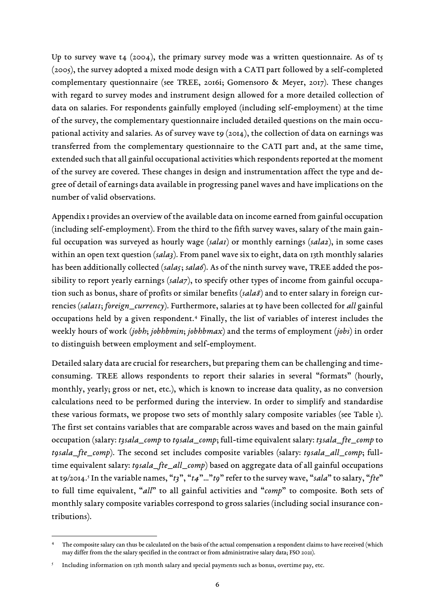Up to survey wave t4 (2004), the primary survey mode was a written questionnaire. As of t5 (2005), the survey adopted a mixed mode design with a CATI part followed by a self-completed complementary questionnaire (see TREE, 2016i; Gomensoro & Meyer, 2017). These changes with regard to survey modes and instrument design allowed for a more detailed collection of data on salaries. For respondents gainfully employed (including self-employment) at the time of the survey, the complementary questionnaire included detailed questions on the main occupational activity and salaries. As of survey wave to  $(2014)$ , the collection of data on earnings was transferred from the complementary questionnaire to the CATI part and, at the same time, extended such that all gainful occupational activities which respondents reported at the moment of the survey are covered. These changes in design and instrumentation affect the type and degree of detail of earnings data available in progressing panel waves and have implications on the number of valid observations.

Appendix 1 provides an overview of the available data on income earned from gainful occupation (including self-employment). From the third to the fifth survey waves, salary of the main gainful occupation was surveyed as hourly wage (*sala1*) or monthly earnings (*sala2*), in some cases within an open text question (*sala3*). From panel wave six to eight, data on 13th monthly salaries has been additionally collected (salas; sala6). As of the ninth survey wave, TREE added the possibility to report yearly earnings (*sala7*), to specify other types of income from gainful occupation such as bonus, share of profits or similar benefits (*sala8*) and to enter salary in foreign currencies (*sala11*; *foreign\_currency*). Furthermore, salaries at t9 have been collected for *all* gainful occupations held by a given respondent. [4](#page-5-0) Finally, the list of variables of interest includes the weekly hours of work (*jobh*; *jobhbmin*; *jobhbmax*) and the terms of employment (*jobs*) in order to distinguish between employment and self-employment.

Detailed salary data are crucial for researchers, but preparing them can be challenging and timeconsuming. TREE allows respondents to report their salaries in several "formats" (hourly, monthly, yearly; gross or net, etc.), which is known to increase data quality, as no conversion calculations need to be performed during the interview. In order to simplify and standardise these various formats, we propose two sets of monthly salary composite variables (see [Table 1\)](#page-6-2). The first set contains variables that are comparable across waves and based on the main gainful occupation (salary: *t3sala\_comp* to *t9sala\_comp*; full-time equivalent salary: *t3sala\_fte\_comp* to *t9sala\_fte\_comp*). The second set includes composite variables (salary: *t9sala\_all\_comp*; fulltime equivalent salary: *t9sala\_fte\_all\_comp*) based on aggregate data of all gainful occupations at t9/2014. [5](#page-5-1) In the variable names, "*t3*", "*t4*"…"*t9*" refer to the survey wave, "*sala*" to salary, "*fte*" to full time equivalent, "*all*" to all gainful activities and "*comp*" to composite. Both sets of monthly salary composite variables correspond to gross salaries (including social insurance contributions).

<span id="page-5-0"></span>The composite salary can thus be calculated on the basis of the actual compensation a respondent claims to have received (which may differ from the the salary specified in the contract or from administrative salary data; FSO 2021).

<span id="page-5-1"></span><sup>5</sup> Including information on 13th month salary and special payments such as bonus, overtime pay, etc.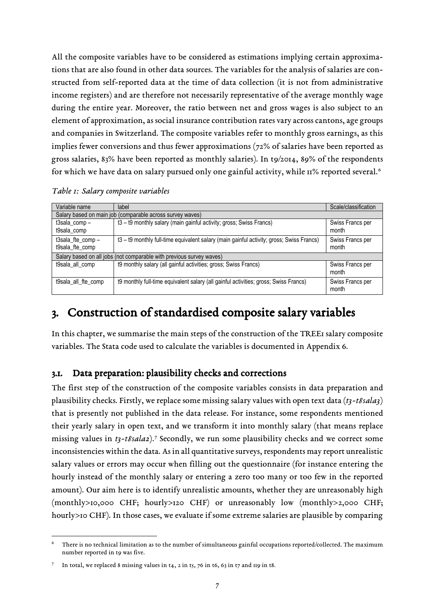All the composite variables have to be considered as estimations implying certain approximations that are also found in other data sources. The variables for the analysis of salaries are constructed from self-reported data at the time of data collection (it is not from administrative income registers) and are therefore not necessarily representative of the average monthly wage during the entire year. Moreover, the ratio between net and gross wages is also subject to an element of approximation, as social insurance contribution rates vary across cantons, age groups and companies in Switzerland. The composite variables refer to monthly gross earnings, as this implies fewer conversions and thus fewer approximations (72% of salaries have been reported as gross salaries, 83% have been reported as monthly salaries). In t9/2014, 89% of the respondents for which we have data on salary pursued only one gainful activity, while 11% reported several.<sup>[6](#page-6-3)</sup>

<span id="page-6-2"></span>

| Variable name                                             | label                                                                                    | Scale/classification      |  |  |  |  |  |  |  |  |  |  |
|-----------------------------------------------------------|------------------------------------------------------------------------------------------|---------------------------|--|--|--|--|--|--|--|--|--|--|
| Salary based on main job (comparable across survey waves) |                                                                                          |                           |  |  |  |  |  |  |  |  |  |  |
| t3sala_comp-<br>t9sala_comp                               | t3 - t9 monthly salary (main gainful activity; gross; Swiss Francs)                      | Swiss Francs per<br>month |  |  |  |  |  |  |  |  |  |  |
| t3sala_fte_comp-<br>t9sala_fte_comp                       | t3 - t9 monthly full-time equivalent salary (main gainful activity; gross; Swiss Francs) | Swiss Francs per<br>month |  |  |  |  |  |  |  |  |  |  |
|                                                           | Salary based on all jobs (not comparable with previous survey waves)                     |                           |  |  |  |  |  |  |  |  |  |  |
| t9sala_all_comp                                           | t9 monthly salary (all gainful activities; gross; Swiss Francs)                          | Swiss Francs per<br>month |  |  |  |  |  |  |  |  |  |  |
| t9sala_all_fte_comp                                       | t9 monthly full-time equivalent salary (all gainful activities; gross; Swiss Francs)     | Swiss Francs per<br>month |  |  |  |  |  |  |  |  |  |  |

## <span id="page-6-0"></span>3. Construction of standardised composite salary variables

In this chapter, we summarise the main steps of the construction of the TREE1 salary composite variables. The Stata code used to calculate the variables is documented in Appendix 6.

#### <span id="page-6-1"></span>3.1. Data preparation: plausibility checks and corrections

The first step of the construction of the composite variables consists in data preparation and plausibility checks. Firstly, we replace some missing salary values with open text data (*t3-t8sala3*) that is presently not published in the data release. For instance, some respondents mentioned their yearly salary in open text, and we transform it into monthly salary (that means replace missing values in *t3-t8sala2*).[7](#page-6-4) Secondly, we run some plausibility checks and we correct some inconsistencies within the data. As in all quantitative surveys, respondents may report unrealistic salary values or errors may occur when filling out the questionnaire (for instance entering the hourly instead of the monthly salary or entering a zero too many or too few in the reported amount). Our aim here is to identify unrealistic amounts, whether they are unreasonably high (monthly>10,000 CHF; hourly>120 CHF) or unreasonably low (monthly>2,000 CHF; hourly>10 CHF). In those cases, we evaluate if some extreme salaries are plausible by comparing

<span id="page-6-3"></span> $\overline{\phantom{a}}$ There is no technical limitation as to the number of simultaneous gainful occupations reported/collected. The maximum number reported in t9 was five.

<span id="page-6-4"></span><sup>7</sup> In total, we replaced 8 missing values in  $t_4$ , 2 in  $t_5$ , 76 in  $t_6$ , 63 in  $t_7$  and  $t_9$  in  $t_8$ .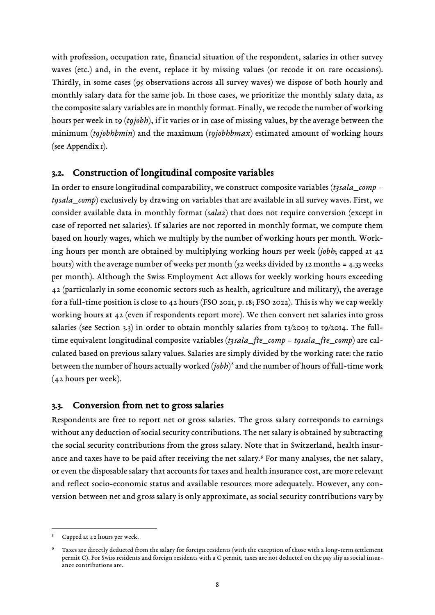with profession, occupation rate, financial situation of the respondent, salaries in other survey waves (etc.) and, in the event, replace it by missing values (or recode it on rare occasions). Thirdly, in some cases (95 observations across all survey waves) we dispose of both hourly and monthly salary data for the same job. In those cases, we prioritize the monthly salary data, as the composite salary variables are in monthly format. Finally, we recode the number of working hours per week in t9 (*t9jobh*), if it varies or in case of missing values, by the average between the minimum (*t9jobhbmin*) and the maximum (*t9jobhbmax*) estimated amount of working hours (see [Appendix](#page-12-1) 1).

#### <span id="page-7-0"></span>3.2. Construction of longitudinal composite variables

In order to ensure longitudinal comparability, we construct composite variables (*t3sala\_comp – t9sala\_comp*) exclusively by drawing on variables that are available in all survey waves. First, we consider available data in monthly format (*sala2*) that does not require conversion (except in case of reported net salaries). If salaries are not reported in monthly format, we compute them based on hourly wages, which we multiply by the number of working hours per month. Working hours per month are obtained by multiplying working hours per week (*jobh*; capped at 42 hours) with the average number of weeks per month (52 weeks divided by 12 months = 4.33 weeks per month). Although the Swiss Employment Act allows for weekly working hours exceeding 42 (particularly in some economic sectors such as health, agriculture and military), the average for a full-time position is close to 42 hours (FSO 2021, p. 18; FSO 2022). This is why we cap weekly working hours at 42 (even if respondents report more). We then convert net salaries into gross salaries (see Section [3.3\)](#page-7-1) in order to obtain monthly salaries from t3/2003 to t9/2014. The fulltime equivalent longitudinal composite variables (*t3sala\_fte\_comp* – *t9sala\_fte\_comp*) are calculated based on previous salary values. Salaries are simply divided by the working rate: the ratio between the number of hours actually worked (*jobh*)[8](#page-7-2) and the number of hours of full-time work (42 hours per week).

#### <span id="page-7-1"></span>3.3. Conversion from net to gross salaries

Respondents are free to report net or gross salaries. The gross salary corresponds to earnings without any deduction of social security contributions. The net salary is obtained by subtracting the social security contributions from the gross salary. Note that in Switzerland, health insurance and taxes have to be paid after receiving the net salary.[9](#page-7-3) For many analyses, the net salary, or even the disposable salary that accounts for taxes and health insurance cost, are more relevant and reflect socio-economic status and available resources more adequately. However, any conversion between net and gross salary is only approximate, as social security contributions vary by

<span id="page-7-2"></span>Capped at 42 hours per week.

<span id="page-7-3"></span>Taxes are directly deducted from the salary for foreign residents (with the exception of those with a long-term settlement permit C). For Swiss residents and foreign residents with a C permit, taxes are not deducted on the pay slip as social insurance contributions are.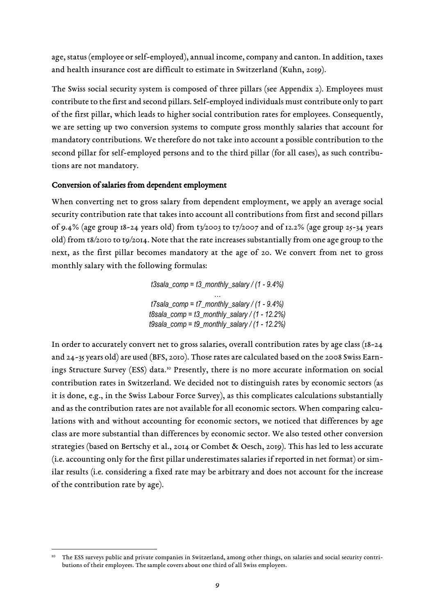age, status (employee or self-employed), annual income, company and canton. In addition, taxes and health insurance cost are difficult to estimate in Switzerland (Kuhn, 2019).

The Swiss social security system is composed of three pillars (see [Appendix](#page-13-0) 2). Employees must contribute to the first and second pillars. Self-employed individuals must contribute only to part of the first pillar, which leads to higher social contribution rates for employees. Consequently, we are setting up two conversion systems to compute gross monthly salaries that account for mandatory contributions. We therefore do not take into account a possible contribution to the second pillar for self-employed persons and to the third pillar (for all cases), as such contributions are not mandatory.

#### Conversion of salaries from dependent employment

When converting net to gross salary from dependent employment, we apply an average social security contribution rate that takes into account all contributions from first and second pillars of 9.4% (age group 18-24 years old) from  $t_3$ /2003 to  $t_7$ /2007 and of 12.2% (age group 25-34 years old) from t8/2010 to t9/2014. Note that the rate increases substantially from one age group to the next, as the first pillar becomes mandatory at the age of 20. We convert from net to gross monthly salary with the following formulas:

> *t3sala\_comp = t3\_monthly\_salary / (1 - 9.4%) … t7sala\_comp = t7\_monthly\_salary / (1 - 9.4%) t8sala\_comp = t3\_monthly\_salary / (1 - 12.2%) t9sala\_comp = t9\_monthly\_salary / (1 - 12.2%)*

In order to accurately convert net to gross salaries, overall contribution rates by age class (18-24 and 24-35 years old) are used (BFS, 2010). Those rates are calculated based on the 2008 Swiss Earnings Structure Survey (ESS) data. [10](#page-8-0) Presently, there is no more accurate information on social contribution rates in Switzerland. We decided not to distinguish rates by economic sectors (as it is done, e.g., in the Swiss Labour Force Survey), as this complicates calculations substantially and as the contribution rates are not available for all economic sectors. When comparing calculations with and without accounting for economic sectors, we noticed that differences by age class are more substantial than differences by economic sector. We also tested other conversion strategies (based on Bertschy et al., 2014 or Combet & Oesch, 2019). This has led to less accurate (i.e. accounting only for the first pillar underestimates salaries if reported in net format) or similar results (i.e. considering a fixed rate may be arbitrary and does not account for the increase of the contribution rate by age).

<span id="page-8-0"></span>The ESS surveys public and private companies in Switzerland, among other things, on salaries and social security contributions of their employees. The sample covers about one third of all Swiss employees.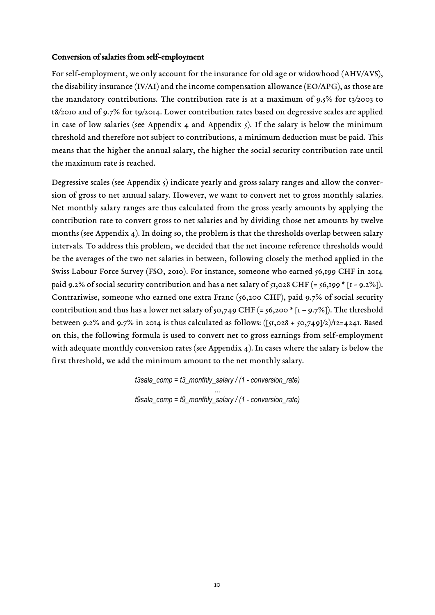#### Conversion of salaries from self-employment

For self-employment, we only account for the insurance for old age or widowhood (AHV/AVS), the disability insurance (IV/AI) and the income compensation allowance (EO/APG), as those are the mandatory contributions. The contribution rate is at a maximum of 9.5% for t3/2003 to t8/2010 and of 9.7% for t9/2014. Lower contribution rates based on degressive scales are applied in case of low salaries (see [Appendix](#page-15-0) 4 and [Appendix](#page-16-0)  $\zeta$ ). If the salary is below the minimum threshold and therefore not subject to contributions, a minimum deduction must be paid. This means that the higher the annual salary, the higher the social security contribution rate until the maximum rate is reached.

Degressive scales (see [Appendix](#page-16-0)  $\varsigma$ ) indicate yearly and gross salary ranges and allow the conversion of gross to net annual salary. However, we want to convert net to gross monthly salaries. Net monthly salary ranges are thus calculated from the gross yearly amounts by applying the contribution rate to convert gross to net salaries and by dividing those net amounts by twelve months (see [Appendix](#page-15-0) 4). In doing so, the problem is that the thresholds overlap between salary intervals. To address this problem, we decided that the net income reference thresholds would be the averages of the two net salaries in between, following closely the method applied in the Swiss Labour Force Survey (FSO, 2010). For instance, someone who earned 56,199 CHF in 2014 paid 9.2% of social security contribution and has a net salary of  $\frac{1}{51}$ ,028 CHF (=  $\frac{1}{56}$ ,199  $\pm$  [1 - 9.2%]). Contrariwise, someone who earned one extra Franc (56,200 CHF), paid 9.7% of social security contribution and thus has a lower net salary of 50,749 CHF (=  $56,200 * [1 - 9.7\%]$ ). The threshold between 9.2% and 9.7% in 2014 is thus calculated as follows:  $([51,028 + 50,749]/2)/12=4241$ . Based on this, the following formula is used to convert net to gross earnings from self-employment with adequate monthly conversion rates (see [Appendix](#page-15-0) 4). In cases where the salary is below the first threshold, we add the minimum amount to the net monthly salary.

> *t3sala\_comp = t3\_monthly\_salary / (1 - conversion\_rate) … t9sala\_comp = t9\_monthly\_salary / (1 - conversion\_rate)*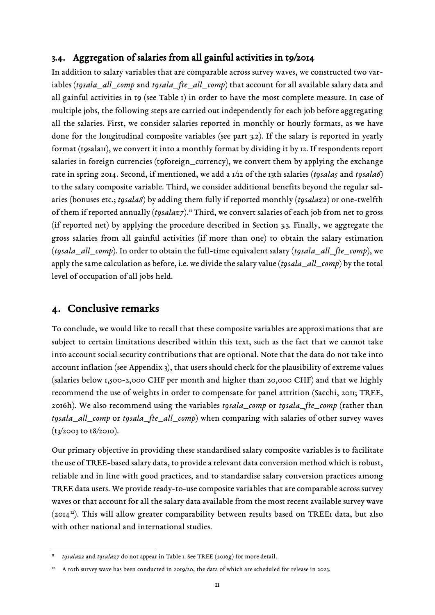### <span id="page-10-0"></span>3.4. Aggregation of salaries from all gainful activities in t9/2014

In addition to salary variables that are comparable across survey waves, we constructed two variables (*t9sala\_all\_comp* and *t9sala\_fte\_all\_comp*) that account for all available salary data and all gainful activities in to (see [Table 1\)](#page-6-2) in order to have the most complete measure. In case of multiple jobs, the following steps are carried out independently for each job before aggregating all the salaries. First, we consider salaries reported in monthly or hourly formats, as we have done for the longitudinal composite variables (see part [3.2\)](#page-7-0). If the salary is reported in yearly format (t9sala11), we convert it into a monthly format by dividing it by 12. If respondents report salaries in foreign currencies (t9foreign\_currency), we convert them by applying the exchange rate in spring 2014. Second, if mentioned, we add a 1/12 of the 13th salaries (*t9sala5* and *t9sala6*) to the salary composite variable. Third, we consider additional benefits beyond the regular salaries (bonuses etc.; *t9sala8*) by adding them fully if reported monthly (*t9salaz2*) or one-twelfth of them if reported annually (*t9salaz7*).<sup>[11](#page-10-2)</sup> Third, we convert salaries of each job from net to gross (if reported net) by applying the procedure described in Section [3.3.](#page-7-1) Finally, we aggregate the gross salaries from all gainful activities (if more than one) to obtain the salary estimation (*t9sala\_all\_comp*). In order to obtain the full-time equivalent salary (*t9sala\_all\_fte\_comp*), we apply the same calculation as before, i.e. we divide the salary value (*t9sala\_all\_comp*) by the total level of occupation of all jobs held.

## <span id="page-10-1"></span>4. Conclusive remarks

To conclude, we would like to recall that these composite variables are approximations that are subject to certain limitations described within this text, such as the fact that we cannot take into account social security contributions that are optional. Note that the data do not take into account inflation (see [Appendix](#page-14-0) 3), that users should check for the plausibility of extreme values (salaries below 1,500-2,000 CHF per month and higher than 20,000 CHF) and that we highly recommend the use of weights in order to compensate for panel attrition (Sacchi, 2011; TREE, 2016h). We also recommend using the variables *t9sala\_comp* or *t9sala\_fte\_comp* (rather than *t9sala\_all\_comp* or *t9sala\_fte\_all\_comp*) when comparing with salaries of other survey waves (t3/2003 to t8/2010).

Our primary objective in providing these standardised salary composite variables is to facilitate the use of TREE-based salary data, to provide a relevant data conversion method which is robust, reliable and in line with good practices, and to standardise salary conversion practices among TREE data users. We provide ready-to-use composite variables that are comparable across survey waves or that account for all the salary data available from the most recent available survey wave  $(2014<sup>12</sup>)$ . This will allow greater comparability between results based on TREE1 data, but also with other national and international studies.

<span id="page-10-2"></span> <sup>11</sup> *t9salaz2* and *t9salaz7* do not appear in [Table 1.](#page-6-2) See TREE (2016g) for more detail.

<span id="page-10-3"></span><sup>12</sup> A 10th survey wave has been conducted in 2019/20, the data of which are scheduled for release in 2023.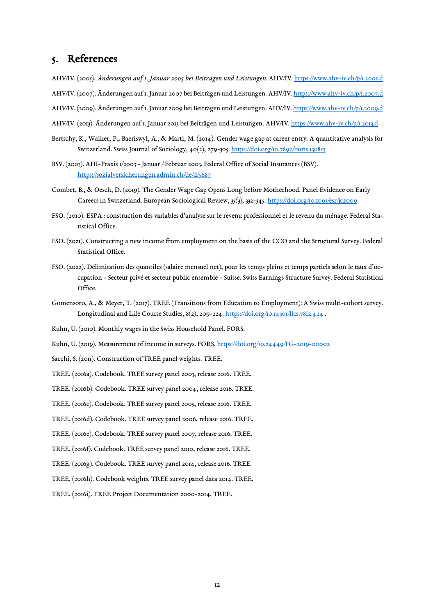## <span id="page-11-0"></span>5. References

- AHV/IV. (2005). *Änderungen auf 1. Januar 2005 bei Beiträgen und Leistungen*. AHV/IV.<https://www.ahv-iv.ch/p/1.2005.d>
- AHV/IV. (2007). Änderungen auf 1. Januar 2007 bei Beiträgen und Leistungen. AHV/IV.<https://www.ahv-iv.ch/p/1.2007.d>
- AHV/IV. (2009). Änderungen auf 1. Januar 2009 bei Beiträgen und Leistungen. AHV/IV[. https://www.ahv-iv.ch/p/1.2009.d](https://www.ahv-iv.ch/p/1.2009.d)
- AHV/IV. (2013). Änderungen auf 1. Januar 2013 bei Beiträgen und Leistungen. AHV/IV[. https://www.ahv-iv.ch/p/1.2013.d](https://www.ahv-iv.ch/p/1.2013.d)
- Bertschy, K., Walker, P., Baeriswyl, A., & Marti, M. (2014). Gender wage gap at career entry. A quantitative analysis for Switzerland. Swiss Journal of Sociology, 40(2), 279-305. <https://doi.org/10.7892/boris.130853>
- BSV. (2003). AHI-Praxis 1/2003 Januar / Februar 2003. Federal Office of Social Insurances (BSV). <https://sozialversicherungen.admin.ch/de/d/5687>
- Combet, B., & Oesch, D. (2019). The Gender Wage Gap Opens Long before Motherhood. Panel Evidence on Early Careers in Switzerland. European Sociological Review, 35(3), 332-345. <https://doi.org/10.1093/esr/jcz009>
- FSO. (2010). ESPA : construction des variables d'analyse sur le revenu professionnel et le revenu du ménage. Federal Statistical Office.
- FSO. (2021). Constructing a new income from employment on the basis of the CCO and the Structural Survey. Federal Statistical Office.
- FSO. (2022). Délimitation des quantiles (salaire mensuel net), pour les temps pleins et temps partiels selon le taux d'occupation - Secteur privé et secteur public ensemble - Suisse. Swiss Earnings Structure Survey. Federal Statistical Office.
- Gomensoro, A., & Meyer, T. (2017). TREE (Transitions from Education to Employment): A Swiss multi-cohort survey. Longitudinal and Life Course Studies, 8(2), 209-224. https://doi.org/10.14301/llcs.v8i2.424.
- Kuhn, U. (2010). Monthly wages in the Swiss Household Panel. FORS.
- Kuhn, U. (2019). Measurement of income in surveys. FORS. <https://doi.org/10.24449/FG-2019-00002>
- Sacchi, S. (2011). Construction of TREE panel weights. TREE.
- TREE. (2016a). Codebook. TREE survey panel 2003, release 2016. TREE.
- TREE. (2016b). Codebook. TREE survey panel 2004, release 2016. TREE.
- TREE. (2016c). Codebook. TREE survey panel 2005, release 2016. TREE.
- TREE. (2016d). Codebook. TREE survey panel 2006, release 2016. TREE.
- TREE. (2016e). Codebook. TREE survey panel 2007, release 2016. TREE.
- TREE. (2016f). Codebook. TREE survey panel 2010, release 2016. TREE.
- TREE. (2016g). Codebook. TREE survey panel 2014, release 2016. TREE.
- TREE. (2016h). Codebook weights. TREE survey panel data 2014. TREE.
- TREE. (2016i). TREE Project Documentation 2000-2014. TREE.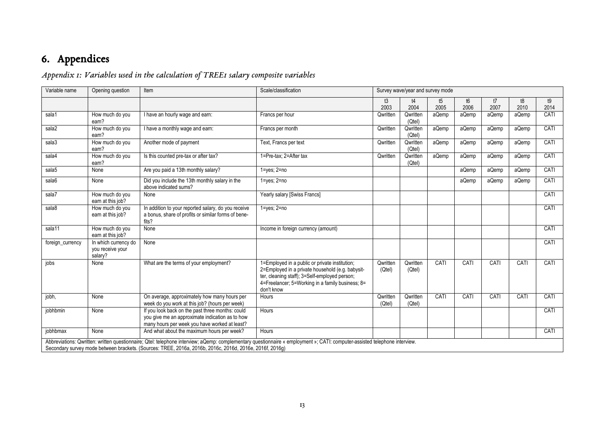## 6. Appendices

## *Appendix 1: Variables used in the calculation of TREE1 salary composite variables*

<span id="page-12-1"></span><span id="page-12-0"></span>

| Variable name    | Opening question                                    | Item                                                                                                                                                 | Scale/classification                                                                                                                                                                                                  |                    | Survey wave/year and survey mode |            |            |            |            |            |  |
|------------------|-----------------------------------------------------|------------------------------------------------------------------------------------------------------------------------------------------------------|-----------------------------------------------------------------------------------------------------------------------------------------------------------------------------------------------------------------------|--------------------|----------------------------------|------------|------------|------------|------------|------------|--|
|                  |                                                     |                                                                                                                                                      |                                                                                                                                                                                                                       | t3<br>2003         | t4<br>2004                       | t5<br>2005 | t6<br>2006 | t7<br>2007 | t8<br>2010 | t9<br>2014 |  |
| sala1            | How much do you<br>eam?                             | I have an hourly wage and earn:                                                                                                                      | Francs per hour                                                                                                                                                                                                       | Qwritten           | Qwritten<br>(Qtel)               | aQemp      | aQemp      | aQemp      | aQemp      | CATI       |  |
| sala2            | How much do you<br>earn?                            | I have a monthly wage and earn:                                                                                                                      | Francs per month                                                                                                                                                                                                      | Qwritten           | Qwritten<br>(Qtel)               | aQemp      | aQemp      | aQemp      | aQemp      | CATI       |  |
| sala3            | How much do you<br>earn?                            | Another mode of payment                                                                                                                              | Text, Francs per text                                                                                                                                                                                                 | Qwritten           | Qwritten<br>(Qtel)               | aQemp      | aQemp      | aQemp      | aQemp      | CATI       |  |
| sala4            | How much do you<br>eam?                             | Is this counted pre-tax or after tax?                                                                                                                | 1=Pre-tax; 2=After tax                                                                                                                                                                                                | Qwritten           | Qwritten<br>(Qtel)               | aQemp      | aQemp      | aQemp      | aQemp      | CATI       |  |
| sala5            | None                                                | Are you paid a 13th monthly salary?                                                                                                                  | $1 = yes$ ; $2 = no$                                                                                                                                                                                                  |                    |                                  |            | aQemp      | aQemp      | aQemp      | CATI       |  |
| sala6            | None                                                | Did you include the 13th monthly salary in the<br>above indicated sums?                                                                              | $1 = yes$ ; $2 = no$                                                                                                                                                                                                  |                    |                                  |            | aQemp      | aQemp      | aQemp      | CATI       |  |
| sala7            | How much do you<br>earn at this job?                | None                                                                                                                                                 | Yearly salary [Swiss Francs]                                                                                                                                                                                          |                    |                                  |            |            |            |            | CATI       |  |
| sala8            | How much do you<br>earn at this job?                | In addition to your reported salary, do you receive<br>a bonus, share of profits or similar forms of bene-<br>fits?                                  | $1 = yes$ ; $2 = no$                                                                                                                                                                                                  |                    |                                  |            |            |            |            | CATI       |  |
| sala11           | How much do you<br>earn at this job?                | None                                                                                                                                                 | Income in foreign currency (amount)                                                                                                                                                                                   |                    |                                  |            |            |            |            | CATI       |  |
| foreign_currency | In which currency do<br>you receive your<br>salary? | None                                                                                                                                                 |                                                                                                                                                                                                                       |                    |                                  |            |            |            |            | CATI       |  |
| jobs             | None                                                | What are the terms of your employment?                                                                                                               | 1=Employed in a public or private institution;<br>2=Employed in a private household (e.g. babysit-<br>ter, cleaning staff); 3=Self-employed person;<br>4=Freelancer; 5=Working in a family business; 8=<br>don't know | Qwritten<br>(Qtel) | Qwritten<br>(Qtel)               | CATI       | CATI       | CATI       | CATI       | CATI       |  |
| jobh,            | None                                                | On average, approximately how many hours per<br>week do you work at this job? (hours per week)                                                       | Hours                                                                                                                                                                                                                 | Qwritten<br>(Qtel) | Qwritten<br>(Qtel)               | CATI       | CATI       | CATI       | CATI       | CATI       |  |
| jobhbmin         | None                                                | If you look back on the past three months: could<br>you give me an approximate indication as to how<br>many hours per week you have worked at least? | Hours                                                                                                                                                                                                                 |                    |                                  |            |            |            |            | CATI       |  |
| jobhbmax         | None                                                | And what about the maximum hours per week?                                                                                                           | Hours                                                                                                                                                                                                                 |                    |                                  |            |            |            |            | CATI       |  |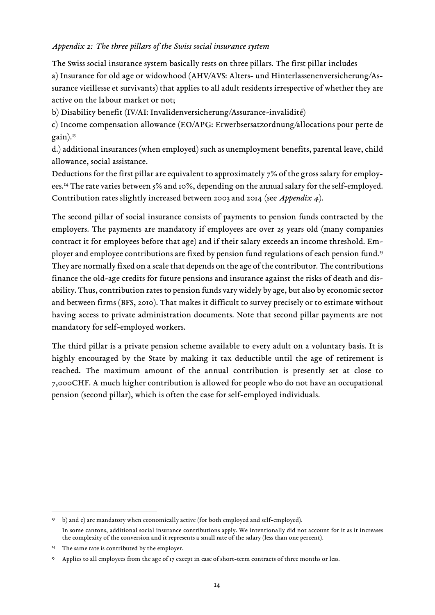#### <span id="page-13-0"></span>*Appendix 2: The three pillars of the Swiss social insurance system*

The Swiss social insurance system basically rests on three pillars. The first pillar includes a) Insurance for old age or widowhood (AHV/AVS: Alters- und Hinterlassenenversicherung/Assurance vieillesse et survivants) that applies to all adult residents irrespective of whether they are active on the labour market or not;

b) Disability benefit (IV/AI: Invalidenversicherung/Assurance-invalidité)

c) Income compensation allowance (EO/APG: Erwerbsersatzordnung/allocations pour perte de gain). [13](#page-13-1)

d.) additional insurances (when employed) such as unemployment benefits, parental leave, child allowance, social assistance.

Deductions for the first pillar are equivalent to approximately 7% of the gross salary for employees. [14](#page-13-2) The rate varies between 5% and 10%, depending on the annual salary for the self-employed. Contribution rates slightly increased between 2003 and 2014 (see *[Appendix](#page-15-0) 4*).

The second pillar of social insurance consists of payments to pension funds contracted by the employers. The payments are mandatory if employees are over 25 years old (many companies contract it for employees before that age) and if their salary exceeds an income threshold. Em-ployer and employee contributions are fixed by pension fund regulations of each pension fund.<sup>[15](#page-13-3)</sup> They are normally fixed on a scale that depends on the age of the contributor. The contributions finance the old-age credits for future pensions and insurance against the risks of death and disability. Thus, contribution rates to pension funds vary widely by age, but also by economic sector and between firms (BFS, 2010). That makes it difficult to survey precisely or to estimate without having access to private administration documents. Note that second pillar payments are not mandatory for self-employed workers.

The third pillar is a private pension scheme available to every adult on a voluntary basis. It is highly encouraged by the State by making it tax deductible until the age of retirement is reached. The maximum amount of the annual contribution is presently set at close to 7,000CHF. A much higher contribution is allowed for people who do not have an occupational pension (second pillar), which is often the case for self-employed individuals.

<span id="page-13-1"></span> $13$  b) and c) are mandatory when economically active (for both employed and self-employed). In some cantons, additional social insurance contributions apply. We intentionally did not account for it as it increases the complexity of the conversion and it represents a small rate of the salary (less than one percent).

<span id="page-13-2"></span><sup>&</sup>lt;sup>14</sup> The same rate is contributed by the employer.

<span id="page-13-3"></span><sup>&</sup>lt;sup>15</sup> Applies to all employees from the age of 17 except in case of short-term contracts of three months or less.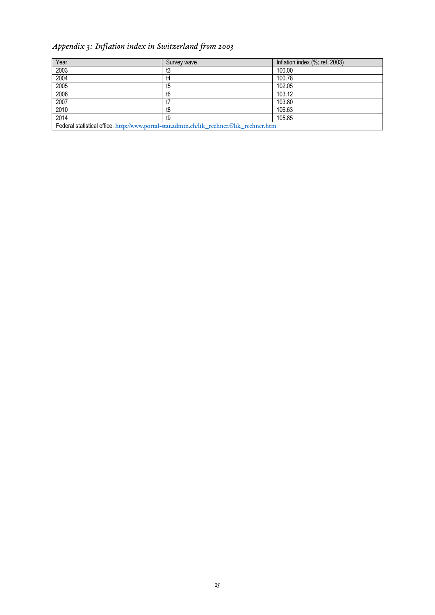## <span id="page-14-0"></span>*Appendix 3: Inflation index in Switzerland from 2003*

| Year | Survey wave                                                                               | Inflation index (%; ref. 2003) |
|------|-------------------------------------------------------------------------------------------|--------------------------------|
| 2003 | t3                                                                                        | 100.00                         |
| 2004 | t4                                                                                        | 100.78                         |
| 2005 | t5                                                                                        | 102.05                         |
| 2006 | t6                                                                                        | 103.12                         |
| 2007 |                                                                                           | 103.80                         |
| 2010 | t8                                                                                        | 106.63                         |
| 2014 | t9                                                                                        | 105.85                         |
|      | Federal statistical office: http://www.portal-stat.admin.ch/lik rechner/f/lik rechner.htm |                                |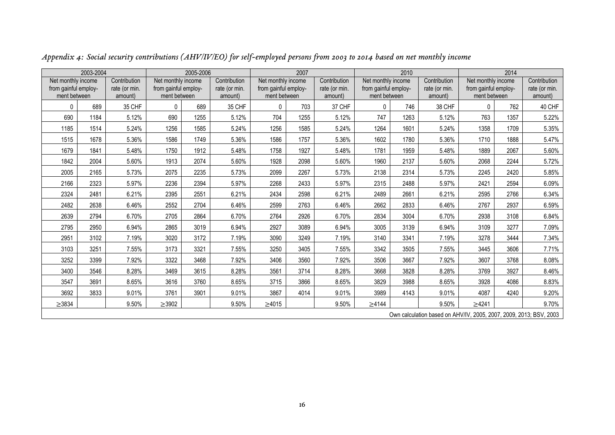<span id="page-15-0"></span>

|                                                            | 2003-2004                                                          |                                          |                                                            | 2005-2006 |                                          | 2007                                                       |      |                                          | 2010                                                       |      |                                          | 2014                                                       |      |                                          |  |
|------------------------------------------------------------|--------------------------------------------------------------------|------------------------------------------|------------------------------------------------------------|-----------|------------------------------------------|------------------------------------------------------------|------|------------------------------------------|------------------------------------------------------------|------|------------------------------------------|------------------------------------------------------------|------|------------------------------------------|--|
| Net monthly income<br>from gainful employ-<br>ment between |                                                                    | Contribution<br>rate (or min.<br>amount) | Net monthly income<br>from gainful employ-<br>ment between |           | Contribution<br>rate (or min.<br>amount) | Net monthly income<br>from gainful employ-<br>ment between |      | Contribution<br>rate (or min.<br>amount) | Net monthly income<br>from gainful employ-<br>ment between |      | Contribution<br>rate (or min.<br>amount) | Net monthly income<br>from gainful employ-<br>ment between |      | Contribution<br>rate (or min.<br>amount) |  |
| 0                                                          | 689                                                                | 35 CHF                                   | $\Omega$                                                   | 689       | 35 CHF                                   | $\mathbf{0}$                                               | 703  | 37 CHF                                   | 0                                                          | 746  | 38 CHF                                   | 0                                                          | 762  | 40 CHF                                   |  |
| 690                                                        | 1184                                                               | 5.12%                                    | 690                                                        | 1255      | 5.12%                                    | 704                                                        | 1255 | 5.12%                                    | 747                                                        | 1263 | 5.12%                                    | 763                                                        | 1357 | 5.22%                                    |  |
| 1185                                                       | 1514                                                               | 5.24%                                    | 1256                                                       | 1585      | 5.24%                                    | 1256                                                       | 1585 | 5.24%                                    | 1264                                                       | 1601 | 5.24%                                    | 1358                                                       | 1709 | 5.35%                                    |  |
| 1515                                                       | 1678                                                               | 5.36%                                    | 1586                                                       | 1749      | 5.36%                                    | 1586                                                       | 1757 | 5.36%                                    | 1602                                                       | 1780 | 5.36%                                    | 1710                                                       | 1888 | 5.47%                                    |  |
| 1679                                                       | 1841                                                               | 5.48%                                    | 1750                                                       | 1912      | 5.48%                                    | 1758                                                       | 1927 | 5.48%                                    | 1781                                                       | 1959 | 5.48%                                    | 1889                                                       | 2067 | 5.60%                                    |  |
| 1842                                                       | 2004                                                               | 5.60%                                    | 1913                                                       | 2074      | 5.60%                                    | 1928                                                       | 2098 | 5.60%                                    | 1960                                                       | 2137 | 5.60%                                    | 2068                                                       | 2244 | 5.72%                                    |  |
| 2005                                                       | 2165                                                               | 5.73%                                    | 2075                                                       | 2235      | 5.73%                                    | 2099                                                       | 2267 | 5.73%                                    | 2138                                                       | 2314 | 5.73%                                    | 2245                                                       | 2420 | 5.85%                                    |  |
| 2166                                                       | 2323                                                               | 5.97%                                    | 2236                                                       | 2394      | 5.97%                                    | 2268                                                       | 2433 | 5.97%                                    | 2315                                                       | 2488 | 5.97%                                    | 2421                                                       | 2594 | 6.09%                                    |  |
| 2324                                                       | 2481                                                               | 6.21%                                    | 2395                                                       | 2551      | 6.21%                                    | 2434                                                       | 2598 | 6.21%                                    | 2489                                                       | 2661 | 6.21%                                    | 2595                                                       | 2766 | 6.34%                                    |  |
| 2482                                                       | 2638                                                               | 6.46%                                    | 2552                                                       | 2704      | 6.46%                                    | 2599                                                       | 2763 | 6.46%                                    | 2662                                                       | 2833 | 6.46%                                    | 2767                                                       | 2937 | 6.59%                                    |  |
| 2639                                                       | 2794                                                               | 6.70%                                    | 2705                                                       | 2864      | 6.70%                                    | 2764                                                       | 2926 | 6.70%                                    | 2834                                                       | 3004 | 6.70%                                    | 2938                                                       | 3108 | 6.84%                                    |  |
| 2795                                                       | 2950                                                               | 6.94%                                    | 2865                                                       | 3019      | 6.94%                                    | 2927                                                       | 3089 | 6.94%                                    | 3005                                                       | 3139 | 6.94%                                    | 3109                                                       | 3277 | 7.09%                                    |  |
| 2951                                                       | 3102                                                               | 7.19%                                    | 3020                                                       | 3172      | 7.19%                                    | 3090                                                       | 3249 | 7.19%                                    | 3140                                                       | 3341 | 7.19%                                    | 3278                                                       | 3444 | 7.34%                                    |  |
| 3103                                                       | 3251                                                               | 7.55%                                    | 3173                                                       | 3321      | 7.55%                                    | 3250                                                       | 3405 | 7.55%                                    | 3342                                                       | 3505 | 7.55%                                    | 3445                                                       | 3606 | 7.71%                                    |  |
| 3252                                                       | 3399                                                               | 7.92%                                    | 3322                                                       | 3468      | 7.92%                                    | 3406                                                       | 3560 | 7.92%                                    | 3506                                                       | 3667 | 7.92%                                    | 3607                                                       | 3768 | 8.08%                                    |  |
| 3400                                                       | 3546                                                               | 8.28%                                    | 3469                                                       | 3615      | 8.28%                                    | 3561                                                       | 3714 | 8.28%                                    | 3668                                                       | 3828 | 8.28%                                    | 3769                                                       | 3927 | 8.46%                                    |  |
| 3547                                                       | 3691                                                               | 8.65%                                    | 3616                                                       | 3760      | 8.65%                                    | 3715                                                       | 3866 | 8.65%                                    | 3829                                                       | 3988 | 8.65%                                    | 3928                                                       | 4086 | 8.83%                                    |  |
| 3692                                                       | 3833                                                               | 9.01%                                    | 3761                                                       | 3901      | 9.01%                                    | 3867                                                       | 4014 | 9.01%                                    | 3989                                                       | 4143 | 9.01%                                    | 4087                                                       | 4240 | 9.20%                                    |  |
| $\geq 3834$                                                |                                                                    | 9.50%                                    | $\geq$ 3902                                                |           | 9.50%                                    | $\geq 4015$                                                |      | 9.50%                                    | $\geq 4144$                                                |      | 9.50%                                    | $\geq 4241$                                                |      | 9.70%                                    |  |
|                                                            | Own calculation based on AHV/IV, 2005, 2007, 2009, 2013; BSV, 2003 |                                          |                                                            |           |                                          |                                                            |      |                                          |                                                            |      |                                          |                                                            |      |                                          |  |

*Appendix 4: Social security contributions (AHV/IV/EO) for self-employed persons from 2003 to 2014 based on net monthly income*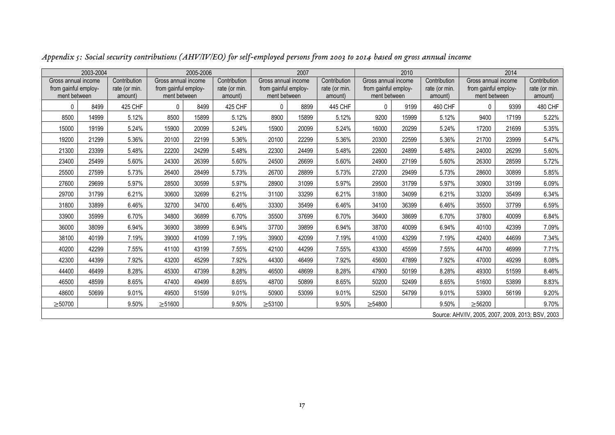<span id="page-16-0"></span>

|                                                             | 2003-2004                                         |                                          |                                                             | 2005-2006 |                                          |                                                             | 2007  |                                          | 2010                                                        |       |                                          | 2014                                                        |       |                                          |  |
|-------------------------------------------------------------|---------------------------------------------------|------------------------------------------|-------------------------------------------------------------|-----------|------------------------------------------|-------------------------------------------------------------|-------|------------------------------------------|-------------------------------------------------------------|-------|------------------------------------------|-------------------------------------------------------------|-------|------------------------------------------|--|
| Gross annual income<br>from gainful employ-<br>ment between |                                                   | Contribution<br>rate (or min.<br>amount) | Gross annual income<br>from gainful employ-<br>ment between |           | Contribution<br>rate (or min.<br>amount) | Gross annual income<br>from gainful employ-<br>ment between |       | Contribution<br>rate (or min.<br>amount) | Gross annual income<br>from gainful employ-<br>ment between |       | Contribution<br>rate (or min.<br>amount) | Gross annual income<br>from gainful employ-<br>ment between |       | Contribution<br>rate (or min.<br>amount) |  |
| <sup>0</sup>                                                | 8499                                              | 425 CHF                                  | $\Omega$                                                    | 8499      | 425 CHF                                  | $\Omega$                                                    | 8899  | 445 CHF                                  | 0                                                           | 9199  | 460 CHF                                  | $\Omega$                                                    | 9399  | 480 CHF                                  |  |
| 8500                                                        | 14999                                             | 5.12%                                    | 8500                                                        | 15899     | 5.12%                                    | 8900                                                        | 15899 | 5.12%                                    | 9200                                                        | 15999 | 5.12%                                    | 9400                                                        | 17199 | 5.22%                                    |  |
| 15000                                                       | 19199                                             | 5.24%                                    | 15900                                                       | 20099     | 5.24%                                    | 15900                                                       | 20099 | 5.24%                                    | 16000                                                       | 20299 | 5.24%                                    | 17200                                                       | 21699 | 5.35%                                    |  |
| 19200                                                       | 21299                                             | 5.36%                                    | 20100                                                       | 22199     | 5.36%                                    | 20100                                                       | 22299 | 5.36%                                    | 20300                                                       | 22599 | 5.36%                                    | 21700                                                       | 23999 | 5.47%                                    |  |
| 21300                                                       | 23399                                             | 5.48%                                    | 22200                                                       | 24299     | 5.48%                                    | 22300                                                       | 24499 | 5.48%                                    | 22600                                                       | 24899 | 5.48%                                    | 24000                                                       | 26299 | 5.60%                                    |  |
| 23400                                                       | 25499                                             | 5.60%                                    | 24300                                                       | 26399     | 5.60%                                    | 24500                                                       | 26699 | 5.60%                                    | 24900                                                       | 27199 | 5.60%                                    | 26300                                                       | 28599 | 5.72%                                    |  |
| 25500                                                       | 27599                                             | 5.73%                                    | 26400                                                       | 28499     | 5.73%                                    | 26700                                                       | 28899 | 5.73%                                    | 27200                                                       | 29499 | 5.73%                                    | 28600                                                       | 30899 | 5.85%                                    |  |
| 27600                                                       | 29699                                             | 5.97%                                    | 28500                                                       | 30599     | 5.97%                                    | 28900                                                       | 31099 | 5.97%                                    | 29500                                                       | 31799 | 5.97%                                    | 30900                                                       | 33199 | 6.09%                                    |  |
| 29700                                                       | 31799                                             | 6.21%                                    | 30600                                                       | 32699     | 6.21%                                    | 31100                                                       | 33299 | 6.21%                                    | 31800                                                       | 34099 | 6.21%                                    | 33200                                                       | 35499 | 6.34%                                    |  |
| 31800                                                       | 33899                                             | 6.46%                                    | 32700                                                       | 34700     | 6.46%                                    | 33300                                                       | 35499 | 6.46%                                    | 34100                                                       | 36399 | 6.46%                                    | 35500                                                       | 37799 | 6.59%                                    |  |
| 33900                                                       | 35999                                             | 6.70%                                    | 34800                                                       | 36899     | 6.70%                                    | 35500                                                       | 37699 | 6.70%                                    | 36400                                                       | 38699 | 6.70%                                    | 37800                                                       | 40099 | 6.84%                                    |  |
| 36000                                                       | 38099                                             | 6.94%                                    | 36900                                                       | 38999     | 6.94%                                    | 37700                                                       | 39899 | 6.94%                                    | 38700                                                       | 40099 | 6.94%                                    | 40100                                                       | 42399 | 7.09%                                    |  |
| 38100                                                       | 40199                                             | 7.19%                                    | 39000                                                       | 41099     | 7.19%                                    | 39900                                                       | 42099 | 7.19%                                    | 41000                                                       | 43299 | 7.19%                                    | 42400                                                       | 44699 | 7.34%                                    |  |
| 40200                                                       | 42299                                             | 7.55%                                    | 41100                                                       | 43199     | 7.55%                                    | 42100                                                       | 44299 | 7.55%                                    | 43300                                                       | 45599 | 7.55%                                    | 44700                                                       | 46999 | 7.71%                                    |  |
| 42300                                                       | 44399                                             | 7.92%                                    | 43200                                                       | 45299     | 7.92%                                    | 44300                                                       | 46499 | 7.92%                                    | 45600                                                       | 47899 | 7.92%                                    | 47000                                                       | 49299 | 8.08%                                    |  |
| 44400                                                       | 46499                                             | 8.28%                                    | 45300                                                       | 47399     | 8.28%                                    | 46500                                                       | 48699 | 8.28%                                    | 47900                                                       | 50199 | 8.28%                                    | 49300                                                       | 51599 | 8.46%                                    |  |
| 46500                                                       | 48599                                             | 8.65%                                    | 47400                                                       | 49499     | 8.65%                                    | 48700                                                       | 50899 | 8.65%                                    | 50200                                                       | 52499 | 8.65%                                    | 51600                                                       | 53899 | 8.83%                                    |  |
| 48600                                                       | 50699                                             | 9.01%                                    | 49500                                                       | 51599     | 9.01%                                    | 50900                                                       | 53099 | 9.01%                                    | 52500                                                       | 54799 | 9.01%                                    | 53900                                                       | 56199 | 9.20%                                    |  |
| $\geq 50700$                                                |                                                   | 9.50%                                    | $\geq 51600$                                                |           | 9.50%                                    | $\geq 53100$                                                |       | 9.50%                                    | $\geq 54800$                                                |       | 9.50%                                    | $\geq 56200$                                                |       | 9.70%                                    |  |
|                                                             | Source: AHV/IV, 2005, 2007, 2009, 2013; BSV, 2003 |                                          |                                                             |           |                                          |                                                             |       |                                          |                                                             |       |                                          |                                                             |       |                                          |  |

*Appendix 5: Social security contributions (AHV/IV/EO) for self-employed persons from 2003 to 2014 based on gross annual income*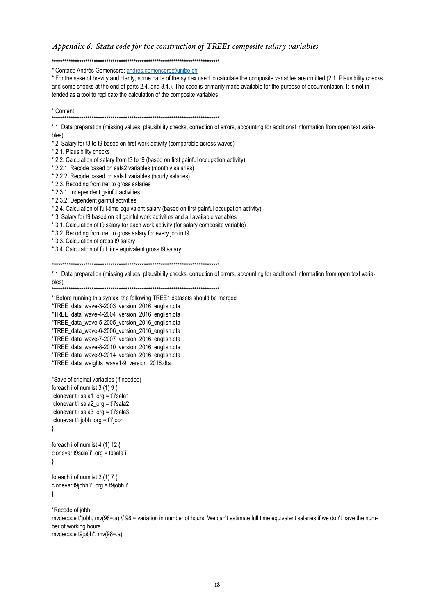#### Appendix 6: Stata code for the construction of TREEI composite salary variables

\* Contact: Andrés Gomensoro: andres.gomensoro@unibe.ch

\* For the sake of brevity and clarity, some parts of the syntax used to calculate the composite variables are omitted (2.1. Plausibility checks and some checks at the end of parts 2.4. and 3.4.). The code is primarily made available for the purpose of documentation. It is not intended as a tool to replicate the calculation of the composite variables.

```
* Content:
```
\* 1. Data preparation (missing values, plausibility checks, correction of errors, accounting for additional information from open text varia $h$  $|a|$ 

\* 2. Salary for t3 to t9 based on first work activity (comparable across waves)

\* 2.1. Plausibility checks

\* 2.2. Calculation of salary from t3 to t9 (based on first gainful occupation activity)

\* 2.2.1. Recode based on sala2 variables (monthly salaries)

\* 2.2.2. Recode based on sala1 variables (hourly salaries)

\* 2.3. Recoding from net to gross salaries

\* 2.3.1. Independent gainful activities

\* 2.3.2. Dependent gainful activities

\* 2.4. Calculation of full-time equivalent salary (based on first gainful occupation activity)

\* 3. Salary for t9 based on all gainful work activities and all available variables

\* 3.1. Calculation of t9 salary for each work activity (for salary composite variable)

\* 3.2. Recoding from net to gross salary for every job in t9

\* 3.3. Calculation of gross t9 salary

\* 3.4. Calculation of full time equivalent gross t9 salary

\* 1. Data preparation (missing values, plausibility checks, correction of errors, accounting for additional information from open text variables)

\*\* Before running this syntax, the following TREE1 datasets should be merged

\*TREE\_data\_wave-3-2003\_version\_2016\_english.dta

\*TREE\_data\_wave-4-2004\_version\_2016\_english.dta

\*TREE\_data\_wave-5-2005\_version\_2016\_english.dta

\*TREE data wave-6-2006 version 2016 english.dta

\*TREE\_data\_wave-7-2007\_version\_2016\_english.dta

\*TREE\_data\_wave-8-2010\_version\_2016\_english.dta

\*TREE\_data\_wave-9-2014\_version\_2016\_english.dta

\*TREE\_data\_weights\_wave1-9\_version\_2016.dta

\*Save of original variables (if needed) foreach i of numlist  $3(1)9$ clonevar t'i'sala1 org = t'i'sala1 clonevar t'i'sala2 org = t'i'sala2 clonevar t'i'sala3  $\text{or} \text{q} = \text{t}'$ i'sala3 clonevar  $t$  i'jobh\_org =  $t$  i'jobh  $\}$ 

foreach i of numlist 4 (1) 12 { clonevar t9sala'i' org = t9sala'i'  $\left\{ \right\}$ 

```
foreach i of numlist 2 (1) 7 {
clonevar t9jobh'i'_org = t9jobh'i'
\}
```
\*Recode of iobh

mydecode t\*jobh, my(98=.a) // 98 = variation in number of hours. We can't estimate full time equivalent salaries if we don't have the number of working hours mvdecode t9jobh\*, mv(98=.a)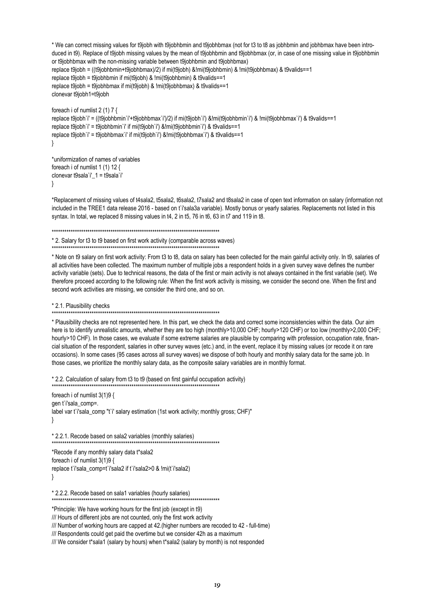```
* We can correct missing values for t9jobh with t9jobhbmin and t9jobhbmax (not for t3 to t8 as jobhbmin and jobhbmax have been intro-
duced in t9). Replace of t9jobh missing values by the mean of t9jobhbmin and t9jobhbmax (or, in case of one missing value in t9jobhbmin
or t9jobhbmax with the non-missing variable between t9jobhbmin and t9jobhbmax)
replace t9jobh = ((t9jobhbmin+t9jobhbmax)/2) if mi(t9jobh) &!mi(t9jobhbmin) & !mi(t9jobhbmax) & t9valids==1
replace t9jobh = t9jobhbmin if mi(t9jobh) & !mi(t9jobhbmin) & t9valids==1
replace t9jobh = t9jobhbmax if mi(t9jobh) & !mi(t9jobhbmax) & t9valids==1
clonevar t9jobh1=t9jobh
foreach i of numlist 2 (1) 7 {
replace t9jobh`i' = ((t9jobhbmin`i'+t9jobhbmax`i')/2) if mi(t9jobh`i') &!mi(t9jobhbmin`i') & !mi(t9jobhbmax`i') & t9valids==1
replace t9jobh`i' = t9jobhbmin`i' if mi(t9jobh`i') &!mi(t9jobhbmin`i') & t9valids==1
replace t9jobh`i' = t9jobhbmax`i' if mi(t9jobh`i') &!mi(t9jobhbmax`i') & t9valids==1
}
*uniformization of names of variables
foreach i of numlist 1 (1) 12 {
clonevar t9sala`i'_1 = t9sala`i'
```
}

\*Replacement of missing values of t4sala2, t5sala2, t6sala2, t7sala2 and t8sala2 in case of open text information on salary (information not included in the TREE1 data release 2016 - based on t'i'sala3a variable). Mostly bonus or yearly salaries. Replacements not listed in this syntax. In total, we replaced 8 missing values in t4, 2 in t5, 76 in t6, 63 in t7 and 119 in t8.

\*\*\*\*\*\*\*\*\*\*\*\*\*\*\*\*\*\*\*\*\*\*\*\*\*\*\*\*\*\*\*\*\*\*\*\*\*\*\*\*\*\*\*\*\*\*\*\*\*\*\*\*\*\*\*\*\*\*\*\*\*\*\*\*\*\*\*\*\*\*\*\*\*\*\*\*\*\*\*\*

\* 2. Salary for t3 to t9 based on first work activity (comparable across waves)

\*\*\*\*\*\*\*\*\*\*\*\*\*\*\*\*\*\*\*\*\*\*\*\*\*\*\*\*\*\*\*\*\*\*\*\*\*\*\*\*\*\*\*\*\*\*\*\*\*\*\*\*\*\*\*\*\*\*\*\*\*\*\*\*\*\*\*\*\*\*\*\*\*\*\*\*\*\*\*\* \* Note on t9 salary on first work activity: From t3 to t8, data on salary has been collected for the main gainful activity only. In t9, salaries of all activities have been collected. The maximum number of multiple jobs a respondent holds in a given survey wave defines the number activity variable (sets). Due to technical reasons, the data of the first or main activity is not always contained in the first variable (set). We therefore proceed according to the following rule: When the first work activity is missing, we consider the second one. When the first and second work activities are missing, we consider the third one, and so on.

\* 2.1. Plausibility checks

\*\*\*\*\*\*\*\*\*\*\*\*\*\*\*\*\*\*\*\*\*\*\*\*\*\*\*\*\*\*\*\*\*\*\*\*\*\*\*\*\*\*\*\*\*\*\*\*\*\*\*\*\*\*\*\*\*\*\*\*\*\*\*\*\*\*\*\*\*\*\*\*\*\*\*\*\*\*\*\*

\* Plausibility checks are not represented here. In this part, we check the data and correct some inconsistencies within the data. Our aim here is to identify unrealistic amounts, whether they are too high (monthly>10,000 CHF; hourly>120 CHF) or too low (monthly>2,000 CHF; hourly>10 CHF). In those cases, we evaluate if some extreme salaries are plausible by comparing with profession, occupation rate, financial situation of the respondent, salaries in other survey waves (etc.) and, in the event, replace it by missing values (or recode it on rare occasions). In some cases (95 cases across all survey waves) we dispose of both hourly and monthly salary data for the same job. In those cases, we prioritize the monthly salary data, as the composite salary variables are in monthly format.

\* 2.2. Calculation of salary from t3 to t9 (based on first gainful occupation activity) \*\*\*\*\*\*\*\*\*\*\*\*\*\*\*\*\*\*\*\*\*\*\*\*\*\*\*\*\*\*\*\*\*\*\*\*\*\*\*\*\*\*\*\*\*\*\*\*\*\*\*\*\*\*\*\*\*\*\*\*\*\*\*\*\*\*\*\*\*\*\*\*\*\*\*\*\*\*\*\*

foreach i of numlist 3(1)9 { gen t`i'sala\_comp=. label var t'i'sala\_comp "t'i' salary estimation (1st work activity; monthly gross; CHF)" }

\* 2.2.1. Recode based on sala2 variables (monthly salaries) \*\*\*\*\*\*\*\*\*\*\*\*\*\*\*\*\*\*\*\*\*\*\*\*\*\*\*\*\*\*\*\*\*\*\*\*\*\*\*\*\*\*\*\*\*\*\*\*\*\*\*\*\*\*\*\*\*\*\*\*\*\*\*\*\*\*\*\*\*\*\*\*\*\*\*\*\*\*\*\*

\*Recode if any monthly salary data t\*sala2 foreach i of numlist 3(1)9 { replace t`i'sala\_comp=t`i'sala2 if t`i'sala2>0 & !mi(t`i'sala2) }

\* 2.2.2. Recode based on sala1 variables (hourly salaries)

\*\*\*\*\*\*\*\*\*\*\*\*\*\*\*\*\*\*\*\*\*\*\*\*\*\*\*\*\*\*\*\*\*\*\*\*\*\*\*\*\*\*\*\*\*\*\*\*\*\*\*\*\*\*\*\*\*\*\*\*\*\*\*\*\*\*\*\*\*\*\*\*\*\*\*\*\*\*\*\*

\*Principle: We have working hours for the first job (except in t9) /// Hours of different jobs are not counted, only the first work activity

/// Number of working hours are capped at 42.(higher numbers are recoded to 42 - full-time)

/// Respondents could get paid the overtime but we consider 42h as a maximum

/// We consider t\*sala1 (salary by hours) when t\*sala2 (salary by month) is not responded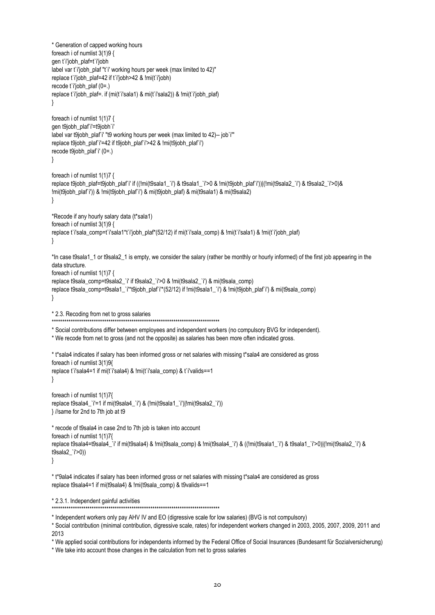\* Generation of capped working hours foreach i of numlist 3(1)9 { gen t`i'iobh\_plaf=t`i'iobh label var t`i'jobh\_plaf "t`i' working hours per week (max limited to 42)" replace t`i'iobh\_plaf=42 if t`i'iobh>42 & !mi(t`i'iobh) recode t`i'jobh\_plaf (0=.) replace t`i'jobh\_plaf=. if (mi(t`i'sala1) & mi(t`i'sala2)) & !mi(t`i'jobh\_plaf) } foreach i of numlist 1(1)7 { gen t9jobh\_plaf`i'=t9jobh`i' label var t9jobh\_plaf`i' "t9 working hours per week (max limited to 42)-- job`i'" replace t9jobh\_plaf`i'=42 if t9jobh\_plaf`i'>42 & !mi(t9jobh\_plaf`i') recode t9jobh\_plaf`i' (0=.) } foreach i of numlist 1(1)7 { replace t9jobh\_plaf=t9jobh\_plaf`i' if ((!mi(t9sala1\_`i') & t9sala1\_`i'>0 & !mi(t9jobh\_plaf`i'))|(!mi(t9sala2\_`i') & t9sala2\_`i'>0)& !mi(t9jobh\_plaf`i')) & !mi(t9jobh\_plaf`i') & mi(t9jobh\_plaf) & mi(t9sala1) & mi(t9sala2) } \*Recode if any hourly salary data (t\*sala1) foreach i of numlist 3(1)9 { replace t`i'sala\_comp=t`i'sala1\*t`i'jobh\_plaf\*(52/12) if mi(t`i'sala\_comp) & !mi(t`i'sala1) & !mi(t`i'jobh\_plaf) } \*In case t9sala1\_1 or t9sala2\_1 is empty, we consider the salary (rather be monthly or hourly informed) of the first job appearing in the data structure. foreach i of numlist 1(1)7 { replace t9sala\_comp=t9sala2\_`i' if t9sala2\_`i'>0 & !mi(t9sala2\_`i') & mi(t9sala\_comp) replace t9sala\_comp=t9sala1\_`i'\*t9jobh\_plaf`i'\*(52/12) if !mi(t9sala1\_`i') & !mi(t9jobh\_plaf`i') & mi(t9sala\_comp) } \* 2.3. Recoding from net to gross salaries \*\*\*\*\*\*\*\*\*\*\*\*\*\*\*\*\*\*\*\*\*\*\*\*\*\*\*\*\*\*\*\*\*\*\*\*\*\*\*\*\*\*\*\*\*\*\*\*\*\*\*\*\*\*\*\*\*\*\*\*\*\*\*\*\*\*\*\*\*\*\*\*\*\*\*\*\*\*\*\* \* Social contributions differ between employees and independent workers (no compulsory BVG for independent). \* We recode from net to gross (and not the opposite) as salaries has been more often indicated gross. \* t\*sala4 indicates if salary has been informed gross or net salaries with missing t\*sala4 are considered as gross foreach i of numlist 3(1)9{ replace t`i'sala4=1 if mi(t`i'sala4) & !mi(t`i'sala\_comp) & t`i'valids==1 } foreach i of numlist 1(1)7{ replace t9sala4\_`i'=1 if mi(t9sala4\_`i') & (!mi(t9sala1\_`i')|!mi(t9sala2\_`i')) } //same for 2nd to 7th job at t9 \* recode of t9sala4 in case 2nd to 7th job is taken into account foreach i of numlist 1(1)7{ replace t9sala4=t9sala4 `i' if mi(t9sala4) & !mi(t9sala\_comp) & !mi(t9sala4\_`i') & ((!mi(t9sala1\_`i') & t9sala1\_`i'>0)|(!mi(t9sala2\_`i') & t9sala2\_`i'>0)) } \* t\*9ala4 indicates if salary has been informed gross or net salaries with missing t\*sala4 are considered as gross replace t9sala4=1 if mi(t9sala4) & !mi(t9sala\_comp) & t9valids==1 \* 2.3.1. Independent gainful activities \*\*\*\*\*\*\*\*\*\*\*\*\*\*\*\*\*\*\*\*\*\*\*\*\*\*\*\*\*\*\*\*\*\*\*\*\*\*\*\*\*\*\*\*\*\*\*\*\*\*\*\*\*\*\*\*\*\*\*\*\*\*\*\*\*\*\*\*\*\*\*\*\*\*\*\*\*\*\*\*

\* Independent workers only pay AHV IV and EO (digressive scale for low salaries) (BVG is not compulsory)

\* Social contribution (minimal contribution, digressive scale, rates) for independent workers changed in 2003, 2005, 2007, 2009, 2011 and 2013

\* We applied social contributions for independents informed by the Federal Office of Social Insurances (Bundesamt für Sozialversicherung)

\* We take into account those changes in the calculation from net to gross salaries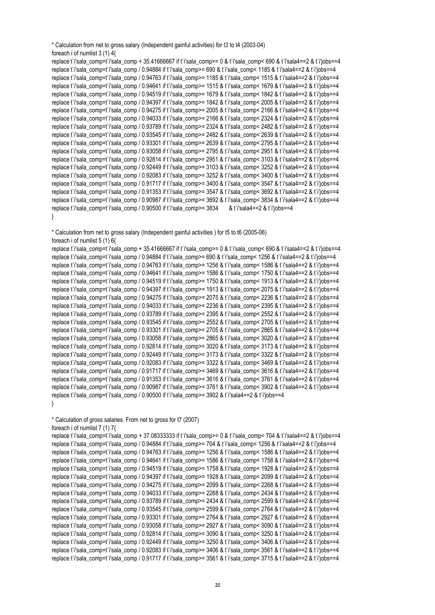```
* Calculation from net to gross salary (Independent gainful activities) for t3 to t4 (2003-04)
foreach i of numlist 3 (1) 4{
```

```
replace t`i'sala_comp=t`i'sala_comp + 35.41666667 if t`i'sala_comp>= 0 & t`i'sala_comp< 690 & t`i'sala4==2 & t`i'jobs==4
replace t`i'sala_comp=t`i'sala_comp / 0.94884 if t`i'sala_comp>= 690 & t`i'sala_comp< 1185 & t`i'sala4==2 & t`i'jobs==4
replace t`i'sala_comp=t`i'sala_comp / 0.94763 if t`i'sala_comp>= 1185 & t`i'sala_comp< 1515 & t`i'sala4==2 & t`iliobs==4
replace t`i'sala_comp=t`i'sala_comp / 0.94641 if t`i'sala_comp>= 1515 & t`i'sala_comp< 1679 & t`i'sala4==2 & t`i'jobs==4
replace t`i'sala_comp=t`i'sala_comp / 0.94519 if t`i'sala_comp>= 1679 & t`i'sala_comp< 1842 & t`i'sala4==2 & t`i'jobs==4
replace t`i'sala_comp=t`i'sala_comp / 0.94397 if t`i'sala_comp>= 1842 & t`i'sala_comp< 2005 & t`i'sala4==2 & t`i'jobs==4
replace t`i'sala_comp=t`i'sala_comp / 0.94275 if t`i'sala_comp>= 2005 & t`i'sala_comp< 2166 & t`i'sala4==2 & t`i'jobs==4
replace t`i'sala_comp=t`i'sala_comp / 0.94033 if t`i'sala_comp>= 2166 & t`i'sala_comp< 2324 & t`i'sala4==2 & t`i'jobs==4
replace t`i'sala_comp=t`i'sala_comp / 0.93789 if t`i'sala_comp>= 2324 & t`i'sala_comp< 2482 & t`i'sala4==2 & t`i'jobs==4
replace t`i'sala_comp=t`i'sala_comp / 0.93545 if t`i'sala_comp>= 2482 & t`i'sala_comp< 2639 & t`i'sala4==2 & t`iliobs==4
replace t`i'sala_comp=t`i'sala_comp / 0.93301 if t`i'sala_comp>= 2639 & t`i'sala_comp< 2795 & t`i'sala4==2 & t`i'jobs==4
replace t`i'sala_comp=t`i'sala_comp / 0.93058 if t`i'sala_comp>= 2795 & t`i'sala_comp< 2951 & t`i'sala4==2 & t`i'jobs==4
replace t`i'sala_comp=t`i'sala_comp / 0.92814 if t`i'sala_comp>= 2951 & t`i'sala_comp< 3103 & t`i'sala4==2 & t`i'jobs==4
replace t`i'sala_comp=t`i'sala_comp / 0.92449 if t`i'sala_comp>= 3103 & t`i'sala_comp< 3252 & t`i'sala4==2 & t`i'jobs==4
replace t`i'sala_comp=t`i'sala_comp / 0.92083 if t`i'sala_comp>= 3252 & t`i'sala_comp< 3400 & t`i'sala4==2 & t`i'jobs==4
replace t`i'sala_comp=t`i'sala_comp / 0.91717 if t`i'sala_comp>= 3400 & t`i'sala_comp< 3547 & t`i'sala4==2 & t`i'jobs==4
replace t`i'sala_comp=t`i'sala_comp / 0.91353 if t`i'sala_comp>= 3547 & t`i'sala_comp< 3692 & t`i'sala4==2 & t`i'jobs==4
replace t`i'sala_comp=t`i'sala_comp / 0.90987 if t`i'sala_comp>= 3692 & t`i'sala_comp< 3834 & t`i'sala4==2 & t`i'jobs==4
replace t`i'sala_comp=t`i'sala_comp / 0.90500 if t`i'sala_comp>= 3834 & t`i'sala4==2 & t`i'jobs==4
}
```
\* Calculation from net to gross salary (Independent gainful activities ) for t5 to t6 (2005-06)

```
foreach i of numlist 5 (1) 6{
replace t`i'sala_comp=t`i'sala_comp + 35.41666667 if t`i'sala_comp>= 0 & t`i'sala_comp< 690 & t`i'sala4==2 & t`i'jobs==4
replace t`i'sala_comp=t`i'sala_comp / 0.94884 if t`i'sala_comp>= 690 & t`i'sala_comp< 1256 & t`i'sala4==2 & t`iliobs==4
replace t`i'sala_comp=t`i'sala_comp / 0.94763 if t`i'sala_comp>= 1256 & t`i'sala_comp< 1586 & t`i'sala4==2 & t`i'jobs==4
replace t`i'sala_comp=t`i'sala_comp / 0.94641 if t`i'sala_comp>= 1586 & t`i'sala_comp< 1750 & t`i'sala4==2 & t`i'jobs==4
replace t`i'sala_comp=t`i'sala_comp / 0.94519 if t`i'sala_comp>= 1750 & t`i'sala_comp< 1913 & t`i'sala4==2 & t`i'jobs==4
replace t`i'sala_comp=t`i'sala_comp / 0.94397 if t`i'sala_comp>= 1913 & t`i'sala_comp< 2075 & t`i'sala4==2 & t`ijobs==4
replace t`i'sala_comp=t`i'sala_comp / 0.94275 if t`i'sala_comp>= 2075 & t`i'sala_comp< 2236 & t`i'sala4==2 & t`i'jobs==4
replace t`i'sala_comp=t`i'sala_comp / 0.94033 if t`i'sala_comp>= 2236 & t`i'sala_comp< 2395 & t`i'sala4==2 & t`i'iobs==4
replace t`i'sala_comp=t`i'sala_comp / 0.93789 if t`i'sala_comp>= 2395 & t`i'sala_comp< 2552 & t`i'sala4==2 & t`i'jobs==4
replace t`i'sala_comp=t`i'sala_comp / 0.93545 if t`i'sala_comp>= 2552 & t`i'sala_comp< 2705 & t`i'sala4==2 & t`ijobs==4
replace t`i'sala_comp=t`i'sala_comp / 0.93301 if t`i'sala_comp>= 2705 & t`i'sala_comp< 2865 & t`i'sala4==2 & t`i'jobs==4
replace t`i'sala_comp=t`i'sala_comp / 0.93058 if t`i'sala_comp>= 2865 & t`i'sala_comp< 3020 & t`i'sala4==2 & t`i'jobs==4
replace t`i'sala_comp=t`i'sala_comp / 0.92814 if t`i'sala_comp>= 3020 & t`i'sala_comp< 3173 & t`i'sala4==2 & t`i'jobs==4
replace t`i'sala_comp=t`i'sala_comp / 0.92449 if t`i'sala_comp>= 3173 & t`i'sala_comp< 3322 & t`i'sala4==2 & t`i'jobs==4
replace t`i'sala_comp=t`i'sala_comp / 0.92083 if t`i'sala_comp>= 3322 & t`i'sala_comp< 3469 & t`i'sala4==2 & t`i'jobs==4
replace t`i'sala_comp=t`i'sala_comp / 0.91717 if t`i'sala_comp>= 3469 & t`i'sala_comp< 3616 & t`i'sala4==2 & t`i'jobs==4
replace t`i'sala_comp=t`i'sala_comp / 0.91353 if t`i'sala_comp>= 3616 & t`i'sala_comp< 3761 & t`i'sala4==2 & t`i'jobs==4
replace t`i'sala_comp=t`i'sala_comp / 0.90987 if t`i'sala_comp>= 3761 & t`i'sala_comp< 3902 & t`i'sala4==2 & t`i'jobs==4
replace t'i'sala_comp=t'i'sala_comp / 0.90500 if t'i'sala_comp>= 3902 & t'i'sala4==2 & t'i'jobs==4
}
```
\* Calculation of gross salaries. From net to gross for t7 (2007)

```
foreach i of numlist 7 (1) 7{
```

```
replace t`i'sala_comp=t`i'sala_comp + 37.08333333 if t`i'sala_comp>= 0 & t`i'sala_comp< 704 & t`i'sala4==2 & t`i'jobs==4
replace t`i'sala_comp=t`i'sala_comp / 0.94884 if t`i'sala_comp>= 704 & t`i'sala_comp< 1256 & t`i'sala4==2 & t`i'jobs==4
replace t`i'sala_comp=t`i'sala_comp / 0.94763 if t`i'sala_comp>= 1256 & t`i'sala_comp< 1586 & t`i'sala4==2 & t`i'jobs==4
replace t`i'sala_comp=t`i'sala_comp / 0.94641 if t`i'sala_comp>= 1586 & t`i'sala_comp< 1758 & t`i'sala4==2 & t`i'jobs==4
replace t`i'sala_comp=t`i'sala_comp / 0.94519 if t`i'sala_comp>= 1758 & t`i'sala_comp< 1928 & t`i'sala4==2 & t`i'jobs==4
replace t`i'sala_comp=t`i'sala_comp / 0.94397 if t`i'sala_comp>= 1928 & t`i'sala_comp< 2099 & t`i'sala4==2 & t`i'jobs==4
replace t`i'sala_comp=t`i'sala_comp / 0.94275 if t`i'sala_comp>= 2099 & t`i'sala_comp< 2268 & t`i'sala4==2 & t`i'jobs==4
replace t`i'sala_comp=t`i'sala_comp / 0.94033 if t`i'sala_comp>= 2268 & t`i'sala_comp< 2434 & t`i'sala4==2 & t`i'jobs==4
replace t`i'sala_comp=t`i'sala_comp / 0.93789 if t`i'sala_comp>= 2434 & t`i'sala_comp< 2599 & t`i'sala4==2 & t`i'jobs==4
replace t`i'sala_comp=t`i'sala_comp / 0.93545 if t`i'sala_comp>= 2599 & t`i'sala_comp< 2764 & t`i'sala4==2 & t`i'jobs==4
replace t`i'sala_comp=t`i'sala_comp / 0.93301 if t`i'sala_comp>= 2764 & t`i'sala_comp< 2927 & t`i'sala4==2 & t`i'jobs==4
replace t`i'sala_comp=t`i'sala_comp / 0.93058 if t`i'sala_comp>= 2927 & t`i'sala_comp< 3090 & t`i'sala4==2 & t`i'jobs==4
replace t`i'sala_comp=t`i'sala_comp / 0.92814 if t`i'sala_comp>= 3090 & t`i'sala_comp< 3250 & t`i'sala4==2 & t`i'jobs==4
replace t`i'sala_comp=t`i'sala_comp / 0.92449 if t`i'sala_comp>= 3250 & t`i'sala_comp< 3406 & t`i'sala4==2 & t`i'jobs==4
replace t`i'sala_comp=t`i'sala_comp / 0.92083 if t`i'sala_comp>= 3406 & t`i'sala_comp< 3561 & t`i'sala4==2 & t`i'jobs==4
replace t`i'sala_comp=t`i'sala_comp / 0.91717 if t`i'sala_comp>= 3561 & t`i'sala_comp< 3715 & t`i'sala4==2 & t`i'jobs==4
```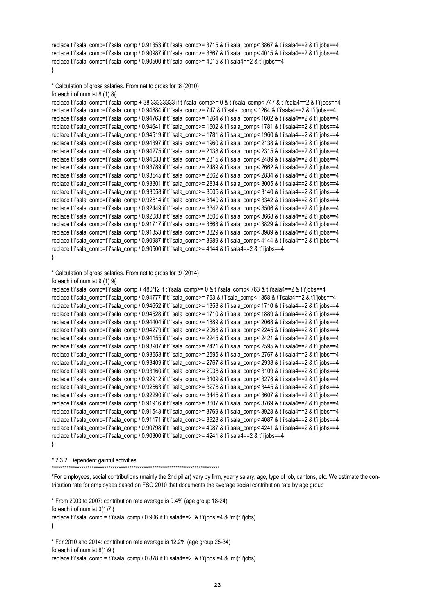```
replace t`i'sala_comp=t`i'sala_comp / 0.91353 if t`i'sala_comp>= 3715 & t`i'sala_comp< 3867 & t`i'sala4==2 & t`i'jobs==4
replace t`i'sala_comp=t`i'sala_comp / 0.90987 if t`i'sala_comp>= 3867 & t`i'sala_comp< 4015 & t`i'sala4==2 & t`i'jobs==4
replace t`i'sala_comp=t`i'sala_comp / 0.90500 if t`i'sala_comp>= 4015 & t`i'sala4==2 & t`i'iobs==4
}
```

```
* Calculation of gross salaries. From net to gross for t8 (2010)
foreach i of numlist 8 (1) 8{
```

```
replace t`i'sala_comp=t`i'sala_comp + 38.33333333 if t`i'sala_comp>= 0 & t`i'sala_comp< 747 & t`i'sala4==2 & t`i'jobs==4
replace t`i'sala_comp=t`i'sala_comp / 0.94884 if t`i'sala_comp>= 747 & t`i'sala_comp< 1264 & t`i'sala4==2 & t`i'jobs==4
replace t`i'sala_comp=t`i'sala_comp / 0.94763 if t`i'sala_comp>= 1264 & t`i'sala_comp< 1602 & t`i'sala4==2 & t`i'jobs==4
replace t`i'sala_comp=t`i'sala_comp / 0.94641 if t`i'sala_comp>= 1602 & t`i'sala_comp< 1781 & t`i'sala4==2 & t`i'iobs==4
replace t`i'sala_comp=t`i'sala_comp / 0.94519 if t`i'sala_comp>= 1781 & t`i'sala_comp< 1960 & t`i'sala4==2 & t`i'jobs==4
replace t`i'sala_comp=t`i'sala_comp / 0.94397 if t`i'sala_comp>= 1960 & t`i'sala_comp< 2138 & t`i'sala4==2 & t`i'jobs==4
replace t`i'sala_comp=t`i'sala_comp / 0.94275 if t`i'sala_comp>= 2138 & t`i'sala_comp< 2315 & t`i'sala4==2 & t`i'jobs==4
replace t`i'sala_comp=t`i'sala_comp / 0.94033 if t`i'sala_comp>= 2315 & t`i'sala_comp< 2489 & t`i'sala4==2 & t`i'jobs==4
replace t`i'sala_comp=t`i'sala_comp / 0.93789 if t`i'sala_comp>= 2489 & t`i'sala_comp< 2662 & t`i'sala4==2 & t`ijobs==4
replace t`i'sala_comp=t`i'sala_comp / 0.93545 if t`i'sala_comp>= 2662 & t`i'sala_comp< 2834 & t`i'sala4==2 & t`i'jobs==4
replace t`i'sala_comp=t`i'sala_comp / 0.93301 if t`i'sala_comp>= 2834 & t`i'sala_comp< 3005 & t`i'sala4==2 & t`i'jobs==4
replace t`i'sala_comp=t`i'sala_comp / 0.93058 if t`i'sala_comp>= 3005 & t`i'sala_comp< 3140 & t`i'sala4==2 & t`i'jobs==4
replace t`i'sala_comp=t`i'sala_comp / 0.92814 if t`i'sala_comp>= 3140 & t`i'sala_comp< 3342 & t`i'sala4==2 & t`i'jobs==4
replace t`i'sala_comp=t`i'sala_comp / 0.92449 if t`i'sala_comp>= 3342 & t`i'sala_comp< 3506 & t`i'sala4==2 & t`i'jobs==4
replace t`i'sala_comp=t`i'sala_comp / 0.92083 if t`i'sala_comp>= 3506 & t`i'sala_comp< 3668 & t`i'sala4==2 & t`i'jobs==4
replace t`i'sala_comp=t`i'sala_comp / 0.91717 if t`i'sala_comp>= 3668 & t`i'sala_comp< 3829 & t`i'sala4==2 & t`i'jobs==4
replace t`i'sala_comp=t`i'sala_comp / 0.91353 if t`i'sala_comp>= 3829 & t`i'sala_comp< 3989 & t`i'sala4==2 & t`i'jobs==4
replace t`i'sala_comp=t`i'sala_comp / 0.90987 if t`i'sala_comp>= 3989 & t`i'sala_comp< 4144 & t`i'sala4==2 & t`i'jobs==4
replace t`i'sala_comp=t`i'sala_comp / 0.90500 if t`i'sala_comp>= 4144 & t`i'sala4==2 & t`i'jobs==4
```

```
}
```
\* Calculation of gross salaries. From net to gross for t9 (2014)

```
foreach i of numlist 9 (1) 9{
```

```
replace t`i'sala_comp=t`i'sala_comp + 480/12 if t`i'sala_comp>= 0 & t`i'sala_comp< 763 & t`i'sala4==2 & t`i'jobs==4
replace t`i'sala_comp=t`i'sala_comp / 0.94777 if t`i'sala_comp>= 763 & t`i'sala_comp< 1358 & t`i'sala4==2 & t`i'jobs==4
replace t`i'sala_comp=t`i'sala_comp / 0.94652 if t`i'sala_comp>= 1358 & t`i'sala_comp< 1710 & t`i'sala4==2 & t`i'jobs==4
replace t`i'sala_comp=t`i'sala_comp / 0.94528 if t`i'sala_comp>= 1710 & t`i'sala_comp< 1889 & t`i'sala4==2 & t`i'jobs==4
replace t`i'sala_comp=t`i'sala_comp / 0.94404 if t`i'sala_comp>= 1889 & t`i'sala_comp< 2068 & t`i'sala4==2 & t`i'jobs==4
replace t`i'sala_comp=t`i'sala_comp / 0.94279 if t`i'sala_comp>= 2068 & t`i'sala_comp< 2245 & t`i'sala4==2 & t`i'jobs==4
replace t`i'sala_comp=t`i'sala_comp / 0.94155 if t`i'sala_comp>= 2245 & t`i'sala_comp< 2421 & t`i'sala4==2 & t`i'jobs==4
replace t`i'sala_comp=t`i'sala_comp / 0.93907 if t`i'sala_comp>= 2421 & t`i'sala_comp< 2595 & t`i'sala4==2 & t`i'jobs==4
replace t`i'sala_comp=t`i'sala_comp / 0.93658 if t`i'sala_comp>= 2595 & t`i'sala_comp< 2767 & t`i'sala4==2 & t`i'jobs==4
replace t`i'sala_comp=t`i'sala_comp / 0.93409 if t`i'sala_comp>= 2767 & t`i'sala_comp< 2938 & t`i'sala4==2 & t`i'jobs==4
replace t`i'sala_comp=t`i'sala_comp / 0.93160 if t`i'sala_comp>= 2938 & t`i'sala_comp< 3109 & t`i'sala4==2 & t`i'jobs==4
replace t`i'sala_comp=t`i'sala_comp / 0.92912 if t`i'sala_comp>= 3109 & t`i'sala_comp< 3278 & t`i'sala4==2 & t`i'jobs==4
replace t`i'sala_comp=t`i'sala_comp / 0.92663 if t`i'sala_comp>= 3278 & t`i'sala_comp< 3445 & t`i'sala4==2 & t`i'jobs==4
replace t`i'sala_comp=t`i'sala_comp / 0.92290 if t`i'sala_comp>= 3445 & t`i'sala_comp< 3607 & t`i'sala4==2 & t`i'jobs==4
replace t`i'sala_comp=t`i'sala_comp / 0.91916 if t`i'sala_comp>= 3607 & t`i'sala_comp< 3769 & t`i'sala4==2 & t`i'jobs==4
replace t`i'sala_comp=t`i'sala_comp / 0.91543 if t`i'sala_comp>= 3769 & t`i'sala_comp< 3928 & t`i'sala4==2 & t`i'jobs==4
replace t`i'sala_comp=t`i'sala_comp / 0.91171 if t`i'sala_comp>= 3928 & t`i'sala_comp< 4087 & t`i'sala4==2 & t`ijobs==4
replace t`i'sala_comp=t`i'sala_comp / 0.90798 if t`i'sala_comp>= 4087 & t`i'sala_comp< 4241 & t`i'sala4==2 & t`i'jobs==4
replace t`i'sala_comp=t`i'sala_comp / 0.90300 if t`i'sala_comp>= 4241 & t`i'sala4==2 & t`i'jobs==4
}
```
\* 2.3.2. Dependent gainful activities

\*\*\*\*\*\*\*\*\*\*\*\*\*\*\*\*\*\*\*\*\*\*\*\*\*\*\*\*\*\*\*\*\*\*\*\*\*\*\*\*\*\*\*\*\*\*\*\*\*\*\*\*\*\*\*\*\*\*\*\*\*\*\*\*\*\*\*\*\*\*\*\*\*\*\*\*\*\*\*\*

\*For employees, social contributions (mainly the 2nd pillar) vary by firm, yearly salary, age, type of job, cantons, etc. We estimate the contribution rate for employees based on FSO 2010 that documents the average social contribution rate by age group

\* From 2003 to 2007: contribution rate average is 9.4% (age group 18-24) foreach i of numlist 3(1)7 { replace t`i'sala\_comp = t`i'sala\_comp / 0.906 if t`i'sala4==2 & t`i'jobs!=4 & !mi(t`i'jobs) }

\* For 2010 and 2014: contribution rate average is 12.2% (age group 25-34) foreach i of numlist 8(1)9 { replace t`i'sala\_comp = t`i'sala\_comp /  $0.878$  if t`i'sala4==2 & t`i'iobs!=4 & !mi(t`i'iobs)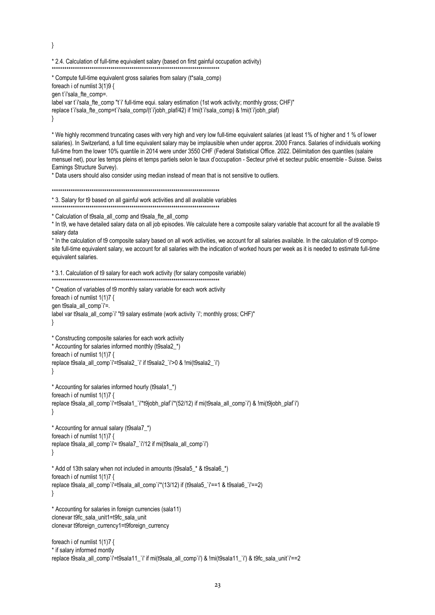$\mathcal{E}$ 

#### \* 2.4. Calculation of full-time equivalent salary (based on first gainful occupation activity)

\* Compute full-time equivalent gross salaries from salary (t\*sala comp) foreach i of numlist 3(1)9 { gen t'i'sala fte comp=. label var t'i'sala fte comp "t'i' full-time equi, salary estimation (1st work activity; monthly gross; CHF)" replace t'i'sala fte comp=t'i'sala comp/(t'i'jobh\_plaf/42) if !mi(t'i'sala comp) & !mi(t'i'jobh\_plaf)  $\{$ 

\* We highly recommend truncating cases with very high and very low full-time equivalent salaries (at least 1% of higher and 1 % of lower salaries). In Switzerland, a full time equivalent salary may be implausible when under approx. 2000 Francs. Salaries of individuals working full-time from the lower 10% quantile in 2014 were under 3550 CHF (Federal Statistical Office. 2022. Délimitation des quantiles (salaire mensuel net), pour les temps pleins et temps partiels selon le taux d'occupation - Secteur privé et secteur public ensemble - Suisse. Swiss Earnings Structure Survey).

\* Data users should also consider using median instead of mean that is not sensitive to outliers.

\* 3. Salary for t9 based on all gainful work activities and all available variables

\* Calculation of t9sala\_all\_comp and t9sala\_fte\_all\_comp

\* In t9, we have detailed salary data on all job episodes. We calculate here a composite salary variable that account for all the available t9 salary data

\* In the calculation of t9 composite salary based on all work activities, we account for all salaries available. In the calculation of t9 composite full-time equivalent salary, we account for all salaries with the indication of worked hours per week as it is needed to estimate full-time equivalent salaries.

\* 3.1. Calculation of t9 salary for each work activity (for salary composite variable) 

```
* Creation of variables of t9 monthly salary variable for each work activity
foreach i of numlist 1(1)7 {
gen t9sala all comp`i'=.
label var t9sala all comp'i' "t9 salary estimate (work activity 'i'; monthly gross; CHF)"
- 1
```
\* Constructing composite salaries for each work activity \* Accounting for salaries informed monthly (t9sala2\_\*) foreach i of numlist 1(1)7 { replace t9sala\_all\_comp`i'=t9sala2\_`i' if t9sala2\_`i'>0 & !mi(t9sala2\_`i')  $\mathcal{E}$ 

\* Accounting for salaries informed hourly (t9sala1\_\*) foreach i of numlist 1(1)7 { replace t9sala\_all\_comp`i'=t9sala1\_`i'\*t9jobh\_plaf`i'\*(52/12) if mi(t9sala\_all\_comp`i') & !mi(t9jobh\_plaf`i')  $\left\{ \right\}$ 

```
* Accounting for annual salary (t9sala7_*)
foreach i of numlist 1(1)7 {
replace t9sala all comp`i'= t9sala7 `i'/12 if mi(t9sala all comp`i')
\mathcal{E}
```

```
* Add of 13th salary when not included in amounts (t9sala5 * & t9sala6 *)
foreach i of numlist 1(1)7 {
replace t9sala_all_comp`i'=t9sala_all_comp`i'*(13/12) if (t9sala5_`i'==1 & t9sala6_`i'==2)
\left\{ \right\}
```
\* Accounting for salaries in foreign currencies (sala11) clonevar t9fc sala unit1=t9fc sala unit clonevar t9foreign\_currency1=t9foreign\_currency

```
foreach i of numlist 1(1)7 {
* if salary informed montly
replace t9sala all comp`i'=t9sala11 `i' if mi(t9sala all comp`i') & !mi(t9sala11 `i') & t9fc sala unit`i'==2
```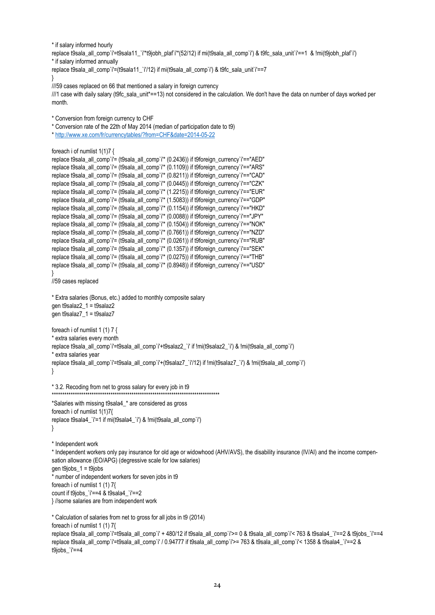```
* if salary informed hourly
replace t9sala all_comp`i'=t9sala11_`i'*t9iobh_plaf`i'*(52/12) if mi(t9sala_all_comp`i') & t9fc_sala_unit`i'==1 & !mi(t9iobh_plaf`i')
* if salary informed annually
replace t9sala_all_comp`i'=(t9sala11_i'/12) if mi(t9sala_all_comp`i') & t9fc_sala_unit`i'==7
} 
///59 cases replaced on 66 that mentioned a salary in foreign currency
```

```
///1 case with daily salary (t9fc_sala_unit*==13) not considered in the calculation. We don't have the data on number of days worked per 
month.
```

```
* Conversion from foreign currency to CHF
```
\* Conversion rate of the 22th of May 2014 (median of participation date to t9)

```
* http://www.xe.com/fr/currencytables/?from=CHF&date=2014-05-22
```

```
foreach i of numlist 1(1)7 {
```

```
replace t9sala_all_comp`i'= (t9sala_all_comp`i<sup>*</sup> (0.2436)) if t9foreign_currency`i'=="AED"
replace t9sala_all_comp`i'= (t9sala_all_comp`i<sup>*</sup> (0.1109)) if t9foreign_currency`i'=="ARS"
replace t9sala_all_comp`i'= (t9sala_all_comp`i'* (0.8211)) if t9foreign_currency`i'=="CAD"
replace t9sala_all_comp`i'= (t9sala_all_comp`i'* (0.0445)) if t9foreign_currency`i'=="CZK"
replace t9sala_all_comp`i'= (t9sala_all_comp`i'* (1.2215)) if t9foreign_currency`i'=="EUR"
replace t9sala_all_comp`i'= (t9sala_all_comp`i'* (1.5083)) if t9foreign_currency`i'=="GDP"
replace t9sala_all_comp`i'= (t9sala_all_comp`i'* (0.1154)) if t9foreign_currency`i'=="HKD"
replace t9sala_all_comp`i'= (t9sala_all_comp`i'* (0.0088)) if t9foreign_currency`i'=="JPY"
replace t9sala_all_comp`i'= (t9sala_all_comp`i'* (0.1504)) if t9foreign_currency`i'=="NOK"
replace t9sala_all_comp`i'= (t9sala_all_comp`i'* (0.7661)) if t9foreign_currency`i'=="NZD"
replace t9sala_all_comp`i'= (t9sala_all_comp`i'* (0.0261)) if t9foreign_currency`i'=="RUB"
replace t9sala_all_comp`i'= (t9sala_all_comp`i'* (0.1357)) if t9foreign_currency`i'=="SEK"
replace t9sala_all_comp`i'= (t9sala_all_comp`i'* (0.0275)) if t9foreign_currency`i'=="THB"
replace t9sala_all_comp`i'= (t9sala_all_comp`i'* (0.8948)) if t9foreign_currency`i'=="USD"
} 
//59 cases replaced
* Extra salaries (Bonus, etc.) added to monthly composite salary 
gen t9salaz2_1 = t9salaz2
gen t9salaz7_1 = t9salaz7
foreach i of numlist 1 (1) 7 {
* extra salaries every month
replace t9sala all_comp`i'=t9sala_all_comp`i'+t9salaz2_`i' if !mi(t9salaz2_`i') & !mi(t9sala_all_comp`i')
* extra salaries year
replace t9sala_all_comp`i'=t9sala_all_comp`i'+(t9salaz7_`i'/12) if !mi(t9salaz7_`i') & !mi(t9sala_all_comp`i')
}
```

```
* 3.2. Recoding from net to gross salary for every job in t9
********************************************************************************
```

```
*Salaries with missing t9sala4_* are considered as gross
foreach i of numlist 1(1)7{
replace t9sala4_`i'=1 if mi(t9sala4_`i') & !mi(t9sala_all_comp`i')
}
```
\* Independent work

\* Independent workers only pay insurance for old age or widowhood (AHV/AVS), the disability insurance (IV/AI) and the income compensation allowance (EO/APG) (degressive scale for low salaries) gen t $9$ jobs $1 = t9$ jobs \* number of independent workers for seven jobs in t9

foreach i of numlist 1 (1) 7{ count if t9jobs\_`i'==4 & t9sala4\_`i'==2

} //some salaries are from independent work

```
* Calculation of salaries from net to gross for all jobs in t9 (2014)
foreach i of numlist 1 (1) 7{
replace t9sala all comp`i'=t9sala all comp`i' + 480/12 if t9sala all comp`i'>= 0 & t9sala all comp`i'< 763 & t9sala4 `i'==2 & t9jobs `i'==4
replace t9sala_all_comp`i'=t9sala_all_comp`i' / 0.94777 if t9sala_all_comp`i'>= 763 & t9sala_all_comp`i'< 1358 & t9sala4_`i'==2 & 
t9jobs_`i'==4
```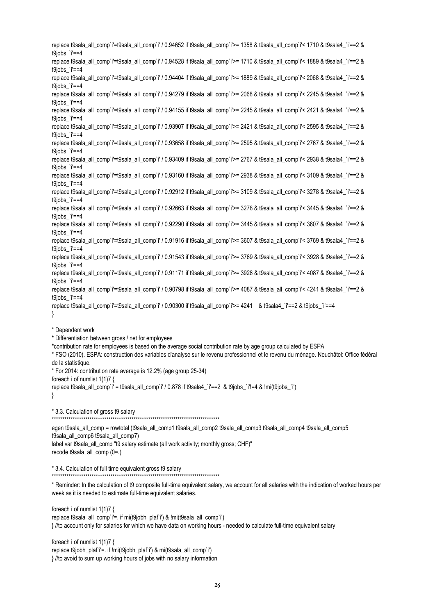replace t9sala all comp`i'=t9sala all comp`i' / 0.94652 if t9sala all comp`i'>= 1358 & t9sala all comp`i'< 1710 & t9sala4 `i'==2 & t $9$ jobs ` $i'=-4$ replace t9sala all\_comp`i'=t9sala\_all\_comp`i' / 0.94528 if t9sala\_all\_comp`i'>= 1710 & t9sala\_all\_comp`i'< 1889 & t9sala4\_`i'==2 & t9jobs\_`i'==4 replace t9sala\_all\_comp`i'=t9sala\_all\_comp`i' / 0.94404 if t9sala\_all\_comp`i'>= 1889 & t9sala\_all\_comp`i'< 2068 & t9sala4\_`i'==2 & t9jobs\_`i'==4 replace t9sala all\_comp`i'=t9sala\_all\_comp`i' / 0.94279 if t9sala\_all\_comp`i'>= 2068 & t9sala\_all\_comp`i'< 2245 & t9sala4\_`i'==2 & t9jobs\_`i'==4 replace t9sala\_all\_comp`i'=t9sala\_all\_comp`i' / 0.94155 if t9sala\_all\_comp`i'>= 2245 & t9sala\_all\_comp`i'< 2421 & t9sala4\_`i'==2 & t9jobs\_`i'==4 replace t9sala all\_comp`i'=t9sala\_all\_comp`i' / 0.93907 if t9sala\_all\_comp`i'>= 2421 & t9sala\_all\_comp`i'< 2595 & t9sala4\_`i'==2 & t $9$ jobs ` $i'=-4$ replace t9sala\_all\_comp`i'=t9sala\_all\_comp`i' / 0.93658 if t9sala\_all\_comp`i'>= 2595 & t9sala\_all\_comp`i'< 2767 & t9sala4\_`i'==2 & t9jobs\_`i'==4 replace t9sala\_all\_comp`i'=t9sala\_all\_comp`i' / 0.93409 if t9sala\_all\_comp`i'>= 2767 & t9sala\_all\_comp`i'< 2938 & t9sala4\_`i'==2 & t9jobs\_`i'==4 replace t9sala\_all\_comp`i'=t9sala\_all\_comp`i' / 0.93160 if t9sala\_all\_comp`i'>= 2938 & t9sala\_all\_comp`i'< 3109 & t9sala4\_`i'==2 & t9jobs\_`i'==4 replace t9sala\_all\_comp`i'=t9sala\_all\_comp`i' / 0.92912 if t9sala\_all\_comp`i'>= 3109 & t9sala\_all\_comp`i'< 3278 & t9sala4\_`i'==2 & t $9$ jobs ` $i'=-4$ replace t9sala\_all\_comp`i'=t9sala\_all\_comp`i' / 0.92663 if t9sala\_all\_comp`i'>= 3278 & t9sala\_all\_comp`i'< 3445 & t9sala4\_`i'==2 & t9jobs\_`i'==4 replace t9sala\_all\_comp`i'=t9sala\_all\_comp`i' / 0.92290 if t9sala\_all\_comp`i'>= 3445 & t9sala\_all\_comp`i'< 3607 & t9sala4\_`i'==2 & t9jobs\_`i'==4 replace t9sala\_all\_comp`i'=t9sala\_all\_comp`i' / 0.91916 if t9sala\_all\_comp`i'>= 3607 & t9sala\_all\_comp`i'< 3769 & t9sala4\_`i'==2 & t $9$ jobs ` $i'=-4$ replace t9sala\_all\_comp`i'=t9sala\_all\_comp`i' / 0.91543 if t9sala\_all\_comp`i'>= 3769 & t9sala\_all\_comp`i'< 3928 & t9sala4\_`i'==2 & t9jobs\_`i'==4 replace t9sala\_all\_comp`i'=t9sala\_all\_comp`i' / 0.91171 if t9sala\_all\_comp`i'>= 3928 & t9sala\_all\_comp`i'< 4087 & t9sala4\_`i'==2 & t9jobs\_`i'==4 replace t9sala\_all\_comp`i'=t9sala\_all\_comp`i' / 0.90798 if t9sala\_all\_comp`i'>= 4087 & t9sala\_all\_comp`i'< 4241 & t9sala4\_`i'==2 & t9jobs\_`i'==4 replace t9sala all comp`i'=t9sala all comp`i' / 0.90300 if t9sala all comp`i'>= 4241 & t9sala4 `i'==2 & t9jobs `i'==4 }

\* Dependent work

\* Differentiation between gross / net for employees

\*contribution rate for employees is based on the average social contribution rate by age group calculated by ESPA

\* FSO (2010). ESPA: construction des variables d'analyse sur le revenu professionnel et le revenu du ménage. Neuchâtel: Office fédéral de la statistique.

\* For 2014: contribution rate average is 12.2% (age group 25-34)

foreach i of numlist 1(1)7 { replace t9sala\_all\_comp`i' = t9sala\_all\_comp`i' / 0.878 if t9sala4\_`i'==2 & t9jobs\_`i'!=4 & !mi(t9jobs\_`i') }

\* 3.3. Calculation of gross t9 salary

\*\*\*\*\*\*\*\*\*\*\*\*\*\*\*\*\*\*\*\*\*\*\*\*\*\*\*\*\*\*\*\*\*\*\*\*\*\*\*\*\*\*\*\*\*\*\*\*\*\*\*\*\*\*\*\*\*\*\*\*\*\*\*\*\*\*\*\*\*\*\*\*\*\*\*\*\*\*\*\*

egen t9sala\_all\_comp = rowtotal (t9sala\_all\_comp1 t9sala\_all\_comp2 t9sala\_all\_comp3 t9sala\_all\_comp4 t9sala\_all\_comp5 t9sala\_all\_comp6 t9sala\_all\_comp7) label var t9 sala all comp "t9 salary estimate (all work activity; monthly gross; CHF)" recode t9sala\_all\_comp (0=.)

\* 3.4. Calculation of full time equivalent gross t9 salary

\*\*\*\*\*\*\*\*\*\*\*\*\*\*\*\*\*\*\*\*\*\*\*\*\*\*\*\*\*\*\*\*\*\*\*\*\*\*\*\*\*\*\*\*\*\*\*\*\*\*\*\*\*\*\*\*\*\*\*\*\*\*\*\*\*\*\*\*\*\*\*\*\*\*\*\*\*\*\*\*

\* Reminder: In the calculation of t9 composite full-time equivalent salary, we account for all salaries with the indication of worked hours per week as it is needed to estimate full-time equivalent salaries.

foreach i of numlist 1(1)7 { replace t9sala\_all\_comp`i'=. if mi(t9jobh\_plaf`i') & !mi(t9sala\_all\_comp`i') } //to account only for salaries for which we have data on working hours - needed to calculate full-time equivalent salary

foreach i of numlist 1(1)7 {

replace t9jobh\_plaf`i'=. if !mi(t9jobh\_plaf`i') & mi(t9sala\_all\_comp`i') } //to avoid to sum up working hours of jobs with no salary information